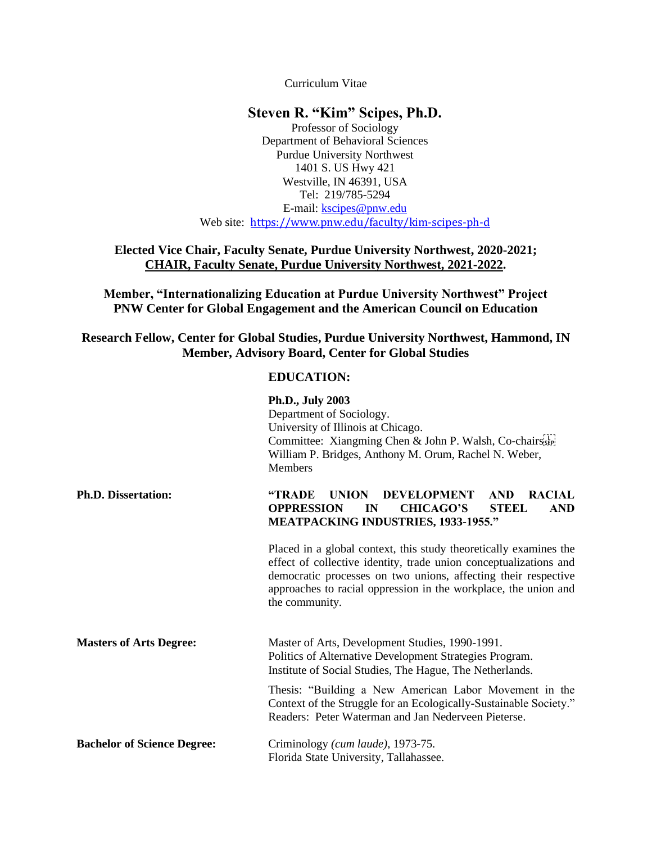Curriculum Vitae

# **Steven R. "Kim" Scipes, Ph.D.**

Professor of Sociology Department of Behavioral Sciences Purdue University Northwest 1401 S. US Hwy 421 Westville, IN 46391, USA Tel: 219/785-5294 E-mail: [kscipes@pnw.edu](mailto:kscipes@pnw.edu)

Web site: <https://www.pnw.edu/faculty/kim-scipes-ph-d>

# **Elected Vice Chair, Faculty Senate, Purdue University Northwest, 2020-2021; CHAIR, Faculty Senate, Purdue University Northwest, 2021-2022.**

**Member, "Internationalizing Education at Purdue University Northwest" Project PNW Center for Global Engagement and the American Council on Education** 

**Research Fellow, Center for Global Studies, Purdue University Northwest, Hammond, IN Member, Advisory Board, Center for Global Studies**

## **EDUCATION:**

|                                    | Ph.D., July 2003<br>Department of Sociology.<br>University of Illinois at Chicago.<br>Committee: Xiangming Chen & John P. Walsh, Co-chairs<br>William P. Bridges, Anthony M. Orum, Rachel N. Weber,<br><b>Members</b>                                                                         |  |
|------------------------------------|-----------------------------------------------------------------------------------------------------------------------------------------------------------------------------------------------------------------------------------------------------------------------------------------------|--|
| <b>Ph.D. Dissertation:</b>         | <b>DEVELOPMENT</b><br>"TRADE<br><b>UNION</b><br><b>AND</b><br><b>RACIAL</b><br><b>OPPRESSION</b><br><b>CHICAGO'S</b><br><b>STEEL</b><br><b>AND</b><br>IN<br><b>MEATPACKING INDUSTRIES, 1933-1955."</b>                                                                                        |  |
|                                    | Placed in a global context, this study theoretically examines the<br>effect of collective identity, trade union conceptualizations and<br>democratic processes on two unions, affecting their respective<br>approaches to racial oppression in the workplace, the union and<br>the community. |  |
| <b>Masters of Arts Degree:</b>     | Master of Arts, Development Studies, 1990-1991.<br>Politics of Alternative Development Strategies Program.<br>Institute of Social Studies, The Hague, The Netherlands.                                                                                                                        |  |
|                                    | Thesis: "Building a New American Labor Movement in the<br>Context of the Struggle for an Ecologically-Sustainable Society."<br>Readers: Peter Waterman and Jan Nederveen Pieterse.                                                                                                            |  |
| <b>Bachelor of Science Degree:</b> | Criminology (cum laude), 1973-75.<br>Florida State University, Tallahassee.                                                                                                                                                                                                                   |  |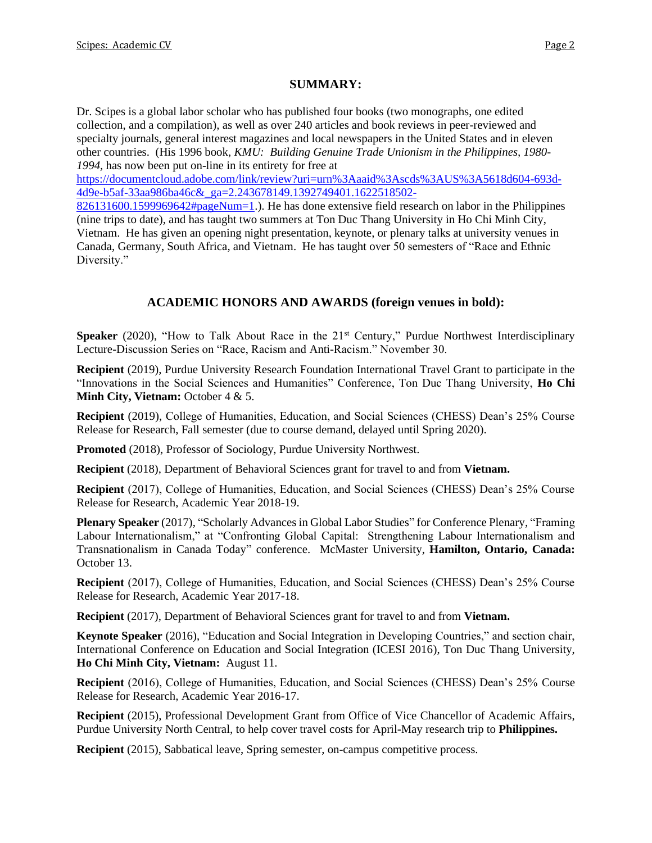# **SUMMARY:**

Dr. Scipes is a global labor scholar who has published four books (two monographs, one edited collection, and a compilation), as well as over 240 articles and book reviews in peer-reviewed and specialty journals, general interest magazines and local newspapers in the United States and in eleven other countries. (His 1996 book, *KMU: Building Genuine Trade Unionism in the Philippines, 1980- 1994,* has now been put on-line in its entirety for free at

[https://documentcloud.adobe.com/link/review?uri=urn%3Aaaid%3Ascds%3AUS%3A5618d604-693d-](https://documentcloud.adobe.com/link/review?uri=urn%3Aaaid%3Ascds%3AUS%3A5618d604-693d-4d9e-b5af-33aa986ba46c&_ga=2.243678149.1392749401.1622518502-826131600.1599969642#pageNum=1)[4d9e-b5af-33aa986ba46c&\\_ga=2.243678149.1392749401.1622518502-](https://documentcloud.adobe.com/link/review?uri=urn%3Aaaid%3Ascds%3AUS%3A5618d604-693d-4d9e-b5af-33aa986ba46c&_ga=2.243678149.1392749401.1622518502-826131600.1599969642#pageNum=1)

[826131600.1599969642#pageNum=1.](https://documentcloud.adobe.com/link/review?uri=urn%3Aaaid%3Ascds%3AUS%3A5618d604-693d-4d9e-b5af-33aa986ba46c&_ga=2.243678149.1392749401.1622518502-826131600.1599969642#pageNum=1)). He has done extensive field research on labor in the Philippines (nine trips to date), and has taught two summers at Ton Duc Thang University in Ho Chi Minh City, Vietnam. He has given an opening night presentation, keynote, or plenary talks at university venues in Canada, Germany, South Africa, and Vietnam. He has taught over 50 semesters of "Race and Ethnic Diversity."

# **ACADEMIC HONORS AND AWARDS (foreign venues in bold):**

**Speaker** (2020), "How to Talk About Race in the 21<sup>st</sup> Century," Purdue Northwest Interdisciplinary Lecture-Discussion Series on "Race, Racism and Anti-Racism." November 30.

**Recipient** (2019), Purdue University Research Foundation International Travel Grant to participate in the "Innovations in the Social Sciences and Humanities" Conference, Ton Duc Thang University, **Ho Chi Minh City, Vietnam:** October 4 & 5.

**Recipient** (2019), College of Humanities, Education, and Social Sciences (CHESS) Dean's 25% Course Release for Research, Fall semester (due to course demand, delayed until Spring 2020).

**Promoted** (2018), Professor of Sociology, Purdue University Northwest.

**Recipient** (2018), Department of Behavioral Sciences grant for travel to and from **Vietnam.**

**Recipient** (2017), College of Humanities, Education, and Social Sciences (CHESS) Dean's 25% Course Release for Research, Academic Year 2018-19.

**Plenary Speaker** (2017), "Scholarly Advances in Global Labor Studies" for Conference Plenary, "Framing Labour Internationalism," at "Confronting Global Capital: Strengthening Labour Internationalism and Transnationalism in Canada Today" conference. McMaster University, **Hamilton, Ontario, Canada:** October 13.

**Recipient** (2017), College of Humanities, Education, and Social Sciences (CHESS) Dean's 25% Course Release for Research, Academic Year 2017-18.

**Recipient** (2017), Department of Behavioral Sciences grant for travel to and from **Vietnam.**

**Keynote Speaker** (2016), "Education and Social Integration in Developing Countries," and section chair, International Conference on Education and Social Integration (ICESI 2016), Ton Duc Thang University, **Ho Chi Minh City, Vietnam:** August 11.

**Recipient** (2016), College of Humanities, Education, and Social Sciences (CHESS) Dean's 25% Course Release for Research, Academic Year 2016-17.

**Recipient** (2015), Professional Development Grant from Office of Vice Chancellor of Academic Affairs, Purdue University North Central, to help cover travel costs for April-May research trip to **Philippines.**

**Recipient** (2015), Sabbatical leave, Spring semester, on-campus competitive process.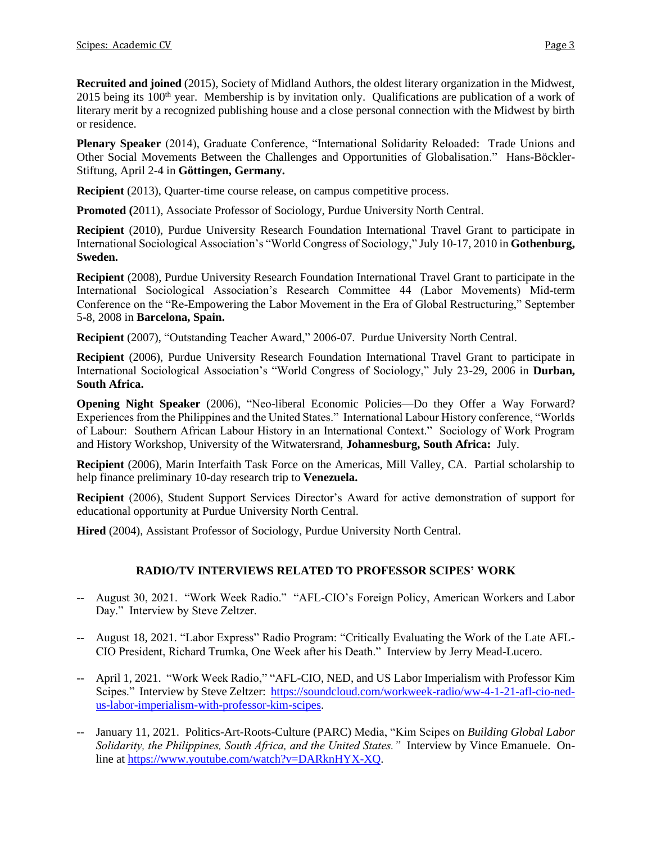**Recruited and joined** (2015), Society of Midland Authors, the oldest literary organization in the Midwest, 2015 being its  $100<sup>th</sup>$  year. Membership is by invitation only. Qualifications are publication of a work of literary merit by a recognized publishing house and a close personal connection with the Midwest by birth or residence.

**Plenary Speaker** (2014), Graduate Conference, "International Solidarity Reloaded: Trade Unions and Other Social Movements Between the Challenges and Opportunities of Globalisation." Hans-Böckler-Stiftung, April 2-4 in **Göttingen, Germany.**

**Recipient** (2013), Quarter-time course release, on campus competitive process.

**Promoted (**2011), Associate Professor of Sociology, Purdue University North Central.

**Recipient** (2010), Purdue University Research Foundation International Travel Grant to participate in International Sociological Association's "World Congress of Sociology," July 10-17, 2010 in **Gothenburg, Sweden.**

**Recipient** (2008), Purdue University Research Foundation International Travel Grant to participate in the International Sociological Association's Research Committee 44 (Labor Movements) Mid-term Conference on the "Re-Empowering the Labor Movement in the Era of Global Restructuring," September 5-8, 2008 in **Barcelona, Spain.**

**Recipient** (2007), "Outstanding Teacher Award," 2006-07. Purdue University North Central.

**Recipient** (2006), Purdue University Research Foundation International Travel Grant to participate in International Sociological Association's "World Congress of Sociology," July 23-29, 2006 in **Durban, South Africa.**

**Opening Night Speaker** (2006), "Neo-liberal Economic Policies—Do they Offer a Way Forward? Experiences from the Philippines and the United States." International Labour History conference, "Worlds of Labour: Southern African Labour History in an International Context." Sociology of Work Program and History Workshop, University of the Witwatersrand, **Johannesburg, South Africa:** July.

**Recipient** (2006), Marin Interfaith Task Force on the Americas, Mill Valley, CA. Partial scholarship to help finance preliminary 10-day research trip to **Venezuela.**

**Recipient** (2006), Student Support Services Director's Award for active demonstration of support for educational opportunity at Purdue University North Central.

**Hired** (2004), Assistant Professor of Sociology, Purdue University North Central.

# **RADIO/TV INTERVIEWS RELATED TO PROFESSOR SCIPES' WORK**

- -- August 30, 2021. "Work Week Radio." "AFL-CIO's Foreign Policy, American Workers and Labor Day." Interview by Steve Zeltzer.
- -- August 18, 2021. "Labor Express" Radio Program: "Critically Evaluating the Work of the Late AFL-CIO President, Richard Trumka, One Week after his Death." Interview by Jerry Mead-Lucero.
- -- April 1, 2021. "Work Week Radio," "AFL-CIO, NED, and US Labor Imperialism with Professor Kim Scipes." Interview by Steve Zeltzer: [https://soundcloud.com/workweek-radio/ww-4-1-21-afl-cio-ned](https://soundcloud.com/workweek-radio/ww-4-1-21-afl-cio-ned-us-labor-imperialism-with-professor-kim-scipes)[us-labor-imperialism-with-professor-kim-scipes.](https://soundcloud.com/workweek-radio/ww-4-1-21-afl-cio-ned-us-labor-imperialism-with-professor-kim-scipes)
- -- January 11, 2021. Politics-Art-Roots-Culture (PARC) Media, "Kim Scipes on *Building Global Labor Solidarity, the Philippines, South Africa, and the United States."* Interview by Vince Emanuele. Online at [https://www.youtube.com/watch?v=DARknHYX-XQ.](https://www.youtube.com/watch?v=DARknHYX-XQ)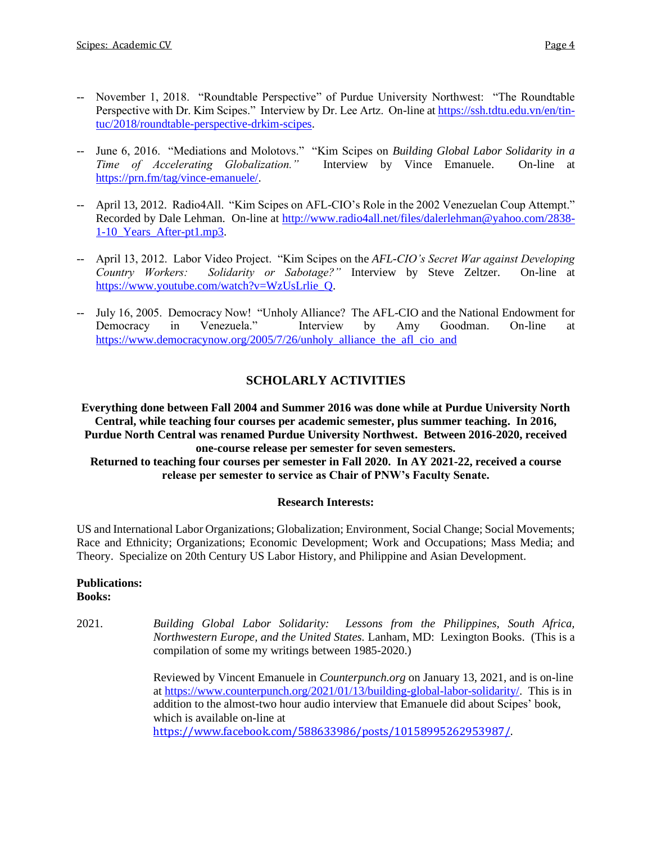- -- November 1, 2018. "Roundtable Perspective" of Purdue University Northwest: "The Roundtable Perspective with Dr. Kim Scipes." Interview by Dr. Lee Artz. On-line a[t https://ssh.tdtu.edu.vn/en/tin](https://ssh.tdtu.edu.vn/en/tin-tuc/2018/roundtable-perspective-drkim-scipes)[tuc/2018/roundtable-perspective-drkim-scipes.](https://ssh.tdtu.edu.vn/en/tin-tuc/2018/roundtable-perspective-drkim-scipes)
- -- June 6, 2016. "Mediations and Molotovs." "Kim Scipes on *Building Global Labor Solidarity in a Time of Accelerating Globalization."* Interview by Vince Emanuele. On-line at [https://prn.fm/tag/vince-emanuele/.](https://prn.fm/tag/vince-emanuele/)
- -- April 13, 2012. Radio4All. "Kim Scipes on AFL-CIO's Role in the 2002 Venezuelan Coup Attempt." Recorded by Dale Lehman. On-line at [http://www.radio4all.net/files/dalerlehman@yahoo.com/2838-](http://www.radio4all.net/files/dalerlehman@yahoo.com/2838-1-10_Years_After-pt1.mp3) 1-10 Years After-pt1.mp3.
- -- April 13, 2012. Labor Video Project. "Kim Scipes on the *AFL-CIO's Secret War against Developing Country Workers: Solidarity or Sabotage?"* Interview by Steve Zeltzer. On-line at [https://www.youtube.com/watch?v=WzUsLrlie\\_Q.](https://www.youtube.com/watch?v=WzUsLrlie_Q)
- -- July 16, 2005. Democracy Now! "Unholy Alliance? The AFL-CIO and the National Endowment for Democracy in Venezuela." Interview by Amy Goodman. On-line at https://www.democracynow.org/2005/7/26/unholy alliance the afl cio and

# **SCHOLARLY ACTIVITIES**

**Everything done between Fall 2004 and Summer 2016 was done while at Purdue University North Central, while teaching four courses per academic semester, plus summer teaching. In 2016, Purdue North Central was renamed Purdue University Northwest. Between 2016-2020, received one-course release per semester for seven semesters. Returned to teaching four courses per semester in Fall 2020. In AY 2021-22, received a course release per semester to service as Chair of PNW's Faculty Senate.**

## **Research Interests:**

US and International Labor Organizations; Globalization; Environment, Social Change; Social Movements; Race and Ethnicity; Organizations; Economic Development; Work and Occupations; Mass Media; and Theory. Specialize on 20th Century US Labor History, and Philippine and Asian Development.

## **Publications: Books:**

2021. *Building Global Labor Solidarity: Lessons from the Philippines, South Africa, Northwestern Europe, and the United States.* Lanham, MD: Lexington Books. (This is a compilation of some my writings between 1985-2020.)

> Reviewed by Vincent Emanuele in *Counterpunch.org* on January 13, 2021, and is on-line at [https://www.counterpunch.org/2021/01/13/building-global-labor-solidarity/.](https://www.counterpunch.org/2021/01/13/building-global-labor-solidarity/) This is in addition to the almost-two hour audio interview that Emanuele did about Scipes' book, which is available on-line at [https://www.facebook.com/588633986/posts/10158995262953987/.](https://www.facebook.com/kscipes/posts/10158995262953987?__cft__%5b0%5d=AZUMf6ykjmXKsOnu1QtNgoX7MIFpeaSnEx7WJbKHg6EwXlHUSX1RDuoIBYrc8xgSm7BN8XrCabmwrcBygXLdri5L5Nt2RQcWDdpqY3CUNin9mQ4TO7zzowhgqsj3Y0mIvqE&__tn__=-UK-R)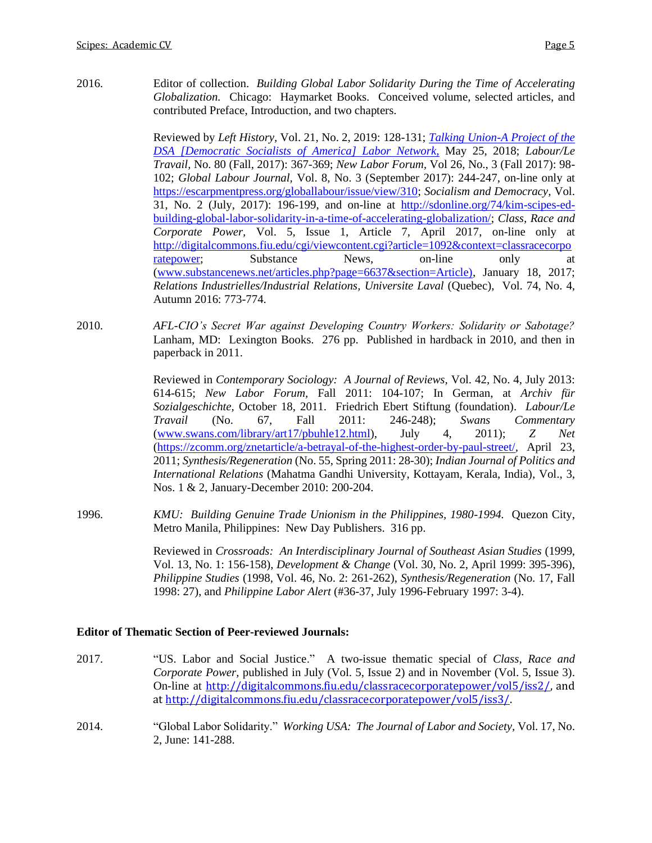2016. Editor of collection. *Building Global Labor Solidarity During the Time of Accelerating Globalization.* Chicago: Haymarket Books. Conceived volume, selected articles, and contributed Preface, Introduction, and two chapters.

> Reviewed by *Left History,* Vol. 21, No. 2, 2019: 128-131; *[Talking Union-A Project of the](https://talkingunion.wordpress.com/2018/05/25/building-global-labor-solidarity-a-review/)  [DSA \[Democratic Socialists of](https://talkingunion.wordpress.com/2018/05/25/building-global-labor-solidarity-a-review/) America] Labor Network,* May 25, 2018; *Labour/Le Travail,* No. 80 (Fall, 2017): 367-369; *New Labor Forum,* Vol 26, No., 3 (Fall 2017): 98- 102; *Global Labour Journal,* Vol. 8, No. 3 (September 2017): 244-247, on-line only at [https://escarpmentpress.org/globallabour/issue/view/310;](https://escarpmentpress.org/globallabour/issue/view/310) *Socialism and Democracy,* Vol. 31, No. 2 (July, 2017): 196-199, and on-line at [http://sdonline.org/74/kim-scipes-ed](http://sdonline.org/74/kim-scipes-ed-building-global-labor-solidarity-in-a-time-of-accelerating-globalization/)[building-global-labor-solidarity-in-a-time-of-accelerating-globalization/;](http://sdonline.org/74/kim-scipes-ed-building-global-labor-solidarity-in-a-time-of-accelerating-globalization/) *Class, Race and Corporate Power,* Vol. 5, Issue 1, Article 7, April 2017, on-line only at [http://digitalcommons.fiu.edu/cgi/viewcontent.cgi?article=1092&context=classracecorpo](http://digitalcommons.fiu.edu/cgi/viewcontent.cgi?article=1092&context=classracecorporatepower) [ratepower;](http://digitalcommons.fiu.edu/cgi/viewcontent.cgi?article=1092&context=classracecorporatepower) Substance News, on-line only at [\(www.substancenews.net/articles.php?page=6637&section=Article\),](http://www.substancenews.net/articles.php?page=6637§ion=Article)) January 18, 2017; *Relations Industrielles/Industrial Relations, Universite Laval* (Quebec), Vol. 74, No. 4, Autumn 2016: 773-774.

2010. *AFL-CIO's Secret War against Developing Country Workers: Solidarity or Sabotage?* Lanham, MD: Lexington Books. 276 pp. Published in hardback in 2010, and then in paperback in 2011.

> Reviewed in *Contemporary Sociology: A Journal of Reviews,* Vol. 42, No. 4, July 2013: 614-615; *New Labor Forum,* Fall 2011: 104-107; In German, at *Archiv für Sozialgeschichte,* October 18, 2011. Friedrich Ebert Stiftung (foundation). *Labour/Le Travail* (No. 67, Fall 2011: 246-248); *Swans Commentary* [\(www.swans.com/library/art17/pbuhle12.html\)](http://www.swans.com/library/art17/pbuhle12.html), July 4, 2011); *Z Net* [\(https://zcomm.org/znetarticle/a-betrayal-of-the-highest-order-by-paul-street/](https://zcomm.org/znetarticle/a-betrayal-of-the-highest-order-by-paul-street/)*,* April 23, 2011; *Synthesis/Regeneration* (No. 55, Spring 2011: 28-30); *Indian Journal of Politics and International Relations* (Mahatma Gandhi University, Kottayam, Kerala, India)*,* Vol., 3, Nos. 1 & 2, January-December 2010: 200-204.

1996. *KMU: Building Genuine Trade Unionism in the Philippines, 1980-1994.* Quezon City, Metro Manila, Philippines: New Day Publishers. 316 pp.

> Reviewed in *Crossroads: An Interdisciplinary Journal of Southeast Asian Studies* (1999, Vol. 13, No. 1: 156-158), *Development & Change* (Vol. 30, No. 2, April 1999: 395-396), *Philippine Studies* (1998, Vol. 46, No. 2: 261-262), *Synthesis/Regeneration* (No. 17, Fall 1998: 27), and *Philippine Labor Alert* (#36-37, July 1996-February 1997: 3-4).

## **Editor of Thematic Section of Peer-reviewed Journals:**

- 2017. "US. Labor and Social Justice." A two-issue thematic special of *Class, Race and Corporate Power,* published in July (Vol. 5, Issue 2) and in November (Vol. 5, Issue 3). On-line at [http://digitalcommons.fiu.edu/classracecorporatepower/vol5/iss2/,](http://digitalcommons.fiu.edu/classracecorporatepower/vol5/iss2/) and a[t http://digitalcommons.fiu.edu/classracecorporatepower/vol5/iss3/.](http://digitalcommons.fiu.edu/classracecorporatepower/vol5/iss3/)
- 2014. "Global Labor Solidarity." *Working USA: The Journal of Labor and Society,* Vol. 17, No. 2, June: 141-288.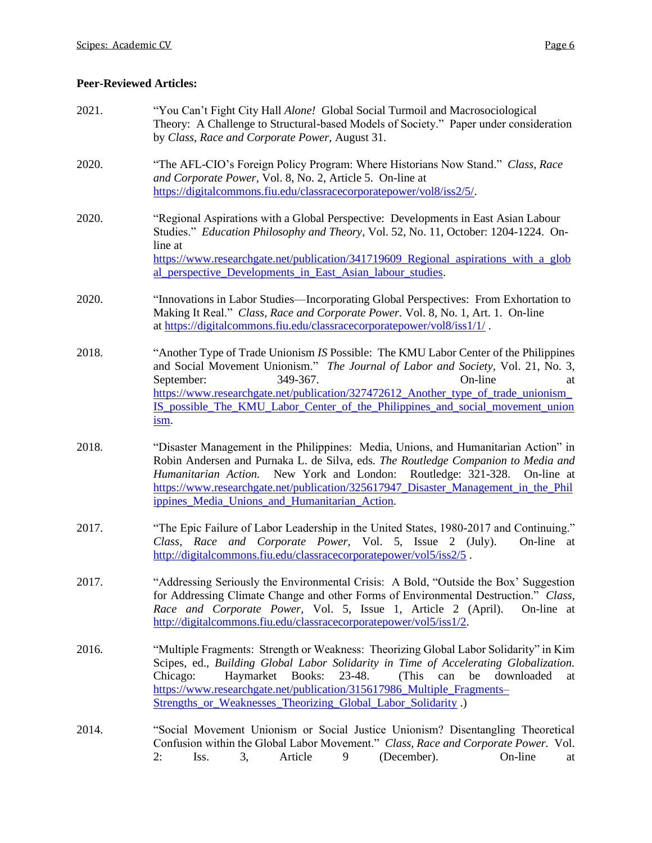## **Peer-Reviewed Articles:**

2021. "You Can't Fight City Hall *Alone!* Global Social Turmoil and Macrosociological Theory: A Challenge to Structural-based Models of Society." Paper under consideration by *Class, Race and Corporate Power,* August 31. 2020. "The AFL-CIO's Foreign Policy Program: Where Historians Now Stand." *Class, Race and Corporate Power,* Vol. 8, No. 2, Article 5. On-line at [https://digitalcommons.fiu.edu/classracecorporatepower/vol8/iss2/5/.](https://digitalcommons.fiu.edu/classracecorporatepower/vol8/iss2/5/) 2020. "Regional Aspirations with a Global Perspective: Developments in East Asian Labour Studies." *Education Philosophy and Theory,* Vol. 52, No. 11, October: 1204-1224. Online at https://www.researchgate.net/publication/341719609 Regional aspirations with a glob al perspective Developments in East Asian labour studies. 2020. "Innovations in Labor Studies—Incorporating Global Perspectives: From Exhortation to Making It Real." *Class, Race and Corporate Power.* Vol. 8, No. 1, Art. 1. On-line at <https://digitalcommons.fiu.edu/classracecorporatepower/vol8/iss1/1/> . 2018. "Another Type of Trade Unionism *IS* Possible: The KMU Labor Center of the Philippines and Social Movement Unionism." *The Journal of Labor and Society,* Vol. 21, No. 3, September: 349-367. On-line at [https://www.researchgate.net/publication/327472612\\_Another\\_type\\_of\\_trade\\_unionism\\_](https://www.researchgate.net/publication/327472612_Another_type_of_trade_unionism_IS_possible_The_KMU_Labor_Center_of_the_Philippines_and_social_movement_unionism) [IS\\_possible\\_The\\_KMU\\_Labor\\_Center\\_of\\_the\\_Philippines\\_and\\_social\\_movement\\_union](https://www.researchgate.net/publication/327472612_Another_type_of_trade_unionism_IS_possible_The_KMU_Labor_Center_of_the_Philippines_and_social_movement_unionism) [ism.](https://www.researchgate.net/publication/327472612_Another_type_of_trade_unionism_IS_possible_The_KMU_Labor_Center_of_the_Philippines_and_social_movement_unionism) 2018. "Disaster Management in the Philippines: Media, Unions, and Humanitarian Action" in Robin Andersen and Purnaka L. de Silva, eds. *The Routledge Companion to Media and Humanitarian Action.* New York and London: Routledge: 321-328. On-line at [https://www.researchgate.net/publication/325617947\\_Disaster\\_Management\\_in\\_the\\_Phil](https://www.researchgate.net/publication/325617947_Disaster_Management_in_the_Philippines_Media_Unions_and_Humanitarian_Action) [ippines\\_Media\\_Unions\\_and\\_Humanitarian\\_Action.](https://www.researchgate.net/publication/325617947_Disaster_Management_in_the_Philippines_Media_Unions_and_Humanitarian_Action) 2017. "The Epic Failure of Labor Leadership in the United States, 1980-2017 and Continuing." *Class, Race and Corporate Power,* Vol. 5, Issue 2 (July). On-line at <http://digitalcommons.fiu.edu/classracecorporatepower/vol5/iss2/5> . 2017. "Addressing Seriously the Environmental Crisis: A Bold, "Outside the Box' Suggestion for Addressing Climate Change and other Forms of Environmental Destruction." *Class, Race and Corporate Power,* Vol. 5, Issue 1, Article 2 (April). On-line at [http://digitalcommons.fiu.edu/classracecorporatepower/vol5/iss1/2.](http://digitalcommons.fiu.edu/classracecorporatepower/vol5/iss1/2) 2016. "Multiple Fragments: Strength or Weakness: Theorizing Global Labor Solidarity" in Kim Scipes, ed., *Building Global Labor Solidarity in Time of Accelerating Globalization.* Chicago: Haymarket Books: 23-48. (This can be downloaded at [https://www.researchgate.net/publication/315617986\\_Multiple\\_Fragments–](https://www.researchgate.net/publication/315617986_Multiple_Fragments--Strengths_or_Weaknesses_Theorizing_Global_Labor_Solidarity) [Strengths\\_or\\_Weaknesses\\_Theorizing\\_Global\\_Labor\\_Solidarity](https://www.researchgate.net/publication/315617986_Multiple_Fragments--Strengths_or_Weaknesses_Theorizing_Global_Labor_Solidarity) .) 2014. "Social Movement Unionism or Social Justice Unionism? Disentangling Theoretical Confusion within the Global Labor Movement." *Class, Race and Corporate Power.* Vol. 2: Iss. 3, Article 9 (December). On-line at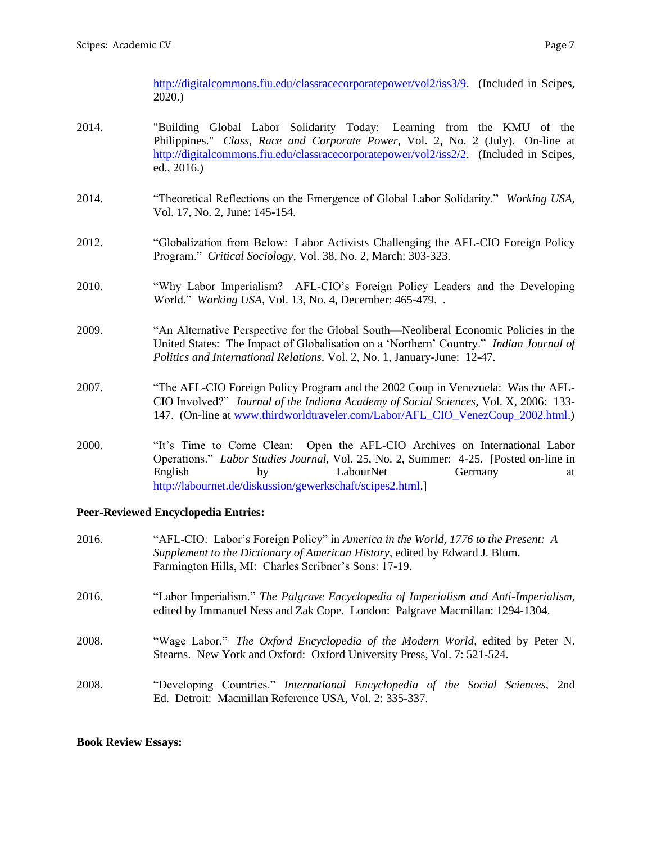[http://digitalcommons.fiu.edu/classracecorporatepower/vol2/iss3/9.](http://digitalcommons.fiu.edu/classracecorporatepower/vol2/iss3/9) (Included in Scipes, 2020.)

- 2014. "Building Global Labor Solidarity Today: Learning from the KMU of the Philippines." *Class, Race and Corporate Power,* Vol. 2, No. 2 (July). On-line at [http://digitalcommons.fiu.edu/classracecorporatepower/vol2/iss2/2.](http://digitalcommons.fiu.edu/classracecorporatepower/vol2/iss2/2) (Included in Scipes, ed., 2016.)
- 2014. "Theoretical Reflections on the Emergence of Global Labor Solidarity." *Working USA,* Vol. 17, No. 2, June: 145-154.
- 2012. "Globalization from Below: Labor Activists Challenging the AFL-CIO Foreign Policy Program." *Critical Sociology,* Vol. 38, No. 2, March: 303-323.
- 2010. "Why Labor Imperialism? AFL-CIO's Foreign Policy Leaders and the Developing World." *Working USA,* Vol. 13, No. 4, December: 465-479. .
- 2009. "An Alternative Perspective for the Global South—Neoliberal Economic Policies in the United States: The Impact of Globalisation on a 'Northern' Country." *Indian Journal of Politics and International Relations,* Vol. 2, No. 1, January-June: 12-47.
- 2007. "The AFL-CIO Foreign Policy Program and the 2002 Coup in Venezuela: Was the AFL-CIO Involved?" *Journal of the Indiana Academy of Social Sciences,* Vol. X, 2006: 133- 147. (On-line at [www.thirdworldtraveler.com/Labor/AFL\\_CIO\\_VenezCoup\\_2002.html.](http://www.thirdworldtraveler.com/Labor/AFL_CIO_VenezCoup_2002.html))
- 2000. "It's Time to Come Clean: Open the AFL-CIO Archives on International Labor Operations." *Labor Studies Journal,* Vol. 25, No. 2, Summer: 4-25. [Posted on-line in English by LabourNet Germany at [http://labournet.de/diskussion/gewerkschaft/scipes2.html.](http://labournet.de/diskussion/gewerkschaft/scipes2.html)]

## **Peer-Reviewed Encyclopedia Entries:**

| 2016. | "AFL-CIO: Labor's Foreign Policy" in America in the World, 1776 to the Present: A<br>Supplement to the Dictionary of American History, edited by Edward J. Blum.<br>Farmington Hills, MI: Charles Scribner's Sons: 17-19. |
|-------|---------------------------------------------------------------------------------------------------------------------------------------------------------------------------------------------------------------------------|
| 2016. | "Labor Imperialism." The Palgrave Encyclopedia of Imperialism and Anti-Imperialism,<br>edited by Immanuel Ness and Zak Cope. London: Palgrave Macmillan: 1294-1304.                                                       |
| 2008. | "Wage Labor." The Oxford Encyclopedia of the Modern World, edited by Peter N.<br>Stearns. New York and Oxford: Oxford University Press, Vol. 7: 521-524.                                                                  |
| 2008. | "Developing Countries." International Encyclopedia of the Social Sciences, 2nd<br>Ed. Detroit: Macmillan Reference USA, Vol. 2: 335-337.                                                                                  |

**Book Review Essays:**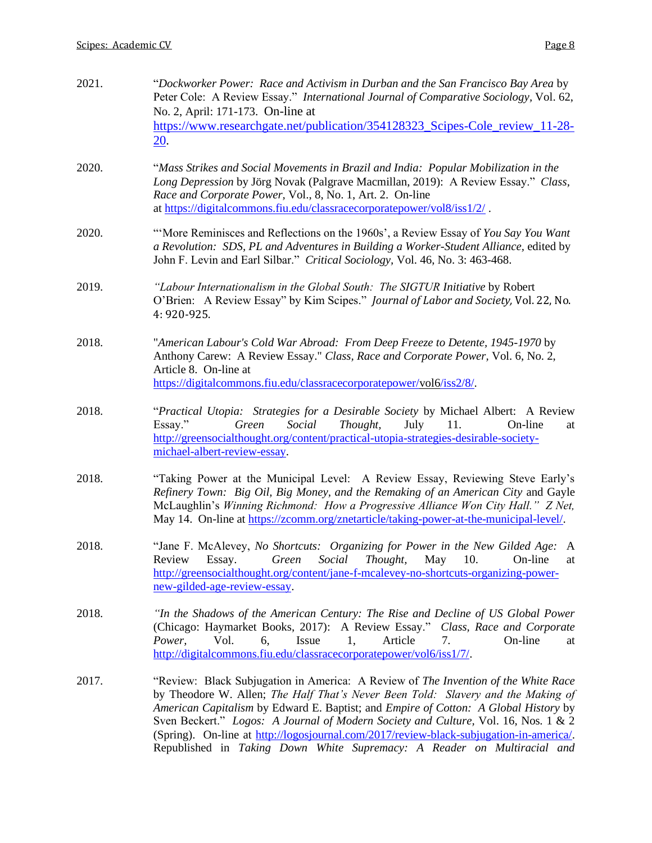| 2021. | "Dockworker Power: Race and Activism in Durban and the San Francisco Bay Area by<br>Peter Cole: A Review Essay." International Journal of Comparative Sociology, Vol. 62,<br>No. 2, April: 171-173. On-line at<br>https://www.researchgate.net/publication/354128323_Scipes-Cole_review_11-28-<br>$20$ .                                                                                                                                                                                                                                |  |  |
|-------|-----------------------------------------------------------------------------------------------------------------------------------------------------------------------------------------------------------------------------------------------------------------------------------------------------------------------------------------------------------------------------------------------------------------------------------------------------------------------------------------------------------------------------------------|--|--|
| 2020. | "Mass Strikes and Social Movements in Brazil and India: Popular Mobilization in the<br>Long Depression by Jörg Novak (Palgrave Macmillan, 2019): A Review Essay." Class,<br>Race and Corporate Power, Vol., 8, No. 1, Art. 2. On-line<br>at https://digitalcommons.fiu.edu/classracecorporatepower/vol8/iss1/2/.                                                                                                                                                                                                                        |  |  |
| 2020. | "More Reminisces and Reflections on the 1960s', a Review Essay of You Say You Want<br>a Revolution: SDS, PL and Adventures in Building a Worker-Student Alliance, edited by<br>John F. Levin and Earl Silbar." Critical Sociology, Vol. 46, No. 3: 463-468.                                                                                                                                                                                                                                                                             |  |  |
| 2019. | "Labour Internationalism in the Global South: The SIGTUR Initiative by Robert<br>O'Brien: A Review Essay" by Kim Scipes." Journal of Labor and Society, Vol. 22, No.<br>4: 920-925.                                                                                                                                                                                                                                                                                                                                                     |  |  |
| 2018. | "American Labour's Cold War Abroad: From Deep Freeze to Detente, 1945-1970 by<br>Anthony Carew: A Review Essay." Class, Race and Corporate Power, Vol. 6, No. 2,<br>Article 8. On-line at<br>https://digitalcommons.fiu.edu/classracecorporatepower/vol6/iss2/8/.                                                                                                                                                                                                                                                                       |  |  |
| 2018. | "Practical Utopia: Strategies for a Desirable Society by Michael Albert: A Review<br>Green<br>Social<br>Thought,<br>July<br>11.<br>On-line<br>Essay."<br>at<br>http://greensocialthought.org/content/practical-utopia-strategies-desirable-society-<br>michael-albert-review-essay.                                                                                                                                                                                                                                                     |  |  |
| 2018. | "Taking Power at the Municipal Level: A Review Essay, Reviewing Steve Early's<br>Refinery Town: Big Oil, Big Money, and the Remaking of an American City and Gayle<br>McLaughlin's Winning Richmond: How a Progressive Alliance Won City Hall." Z Net,<br>May 14. On-line at https://zcomm.org/znetarticle/taking-power-at-the-municipal-level/.                                                                                                                                                                                        |  |  |
| 2018. | "Jane F. McAlevey, No Shortcuts: Organizing for Power in the New Gilded Age: A<br>Social<br>Thought,<br>May<br>10.<br>Review<br>Green<br>Essay.<br>On-line<br>at<br>http://greensocialthought.org/content/jane-f-mcalevey-no-shortcuts-organizing-power-<br>new-gilded-age-review-essay.                                                                                                                                                                                                                                                |  |  |
| 2018. | "In the Shadows of the American Century: The Rise and Decline of US Global Power<br>(Chicago: Haymarket Books, 2017): A Review Essay." Class, Race and Corporate<br>Issue<br>Article<br>Power,<br>Vol.<br>On-line<br>6,<br>1,<br>7.<br>at<br>http://digitalcommons.fiu.edu/classracecorporatepower/vol6/iss1/7/.                                                                                                                                                                                                                        |  |  |
| 2017. | "Review: Black Subjugation in America: A Review of <i>The Invention of the White Race</i><br>by Theodore W. Allen; The Half That's Never Been Told: Slavery and the Making of<br>American Capitalism by Edward E. Baptist; and <i>Empire of Cotton: A Global History</i> by<br>Sven Beckert." Logos: A Journal of Modern Society and Culture, Vol. 16, Nos. 1 & 2<br>(Spring). On-line at http://logosjournal.com/2017/review-black-subjugation-in-america/.<br>Republished in Taking Down White Supremacy: A Reader on Multiracial and |  |  |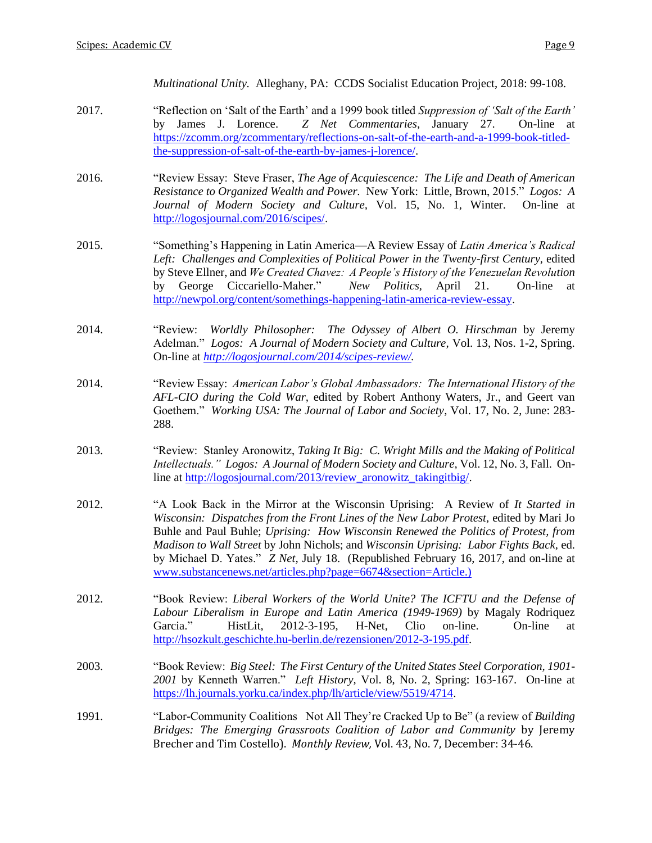*Multinational Unity.* Alleghany, PA: CCDS Socialist Education Project, 2018: 99-108.

- 2017. "Reflection on 'Salt of the Earth' and a 1999 book titled *Suppression of 'Salt of the Earth'*  by James J. Lorence. *Z Net Commentaries,* January 27. On-line at [https://zcomm.org/zcommentary/reflections-on-salt-of-the-earth-and-a-1999-book-titled](https://zcomm.org/zcommentary/reflections-on-salt-of-the-earth-and-a-1999-book-titled-the-suppression-of-salt-of-the-earth-by-james-j-lorence/)[the-suppression-of-salt-of-the-earth-by-james-j-lorence/.](https://zcomm.org/zcommentary/reflections-on-salt-of-the-earth-and-a-1999-book-titled-the-suppression-of-salt-of-the-earth-by-james-j-lorence/)
- 2016. "Review Essay: Steve Fraser, *The Age of Acquiescence: The Life and Death of American Resistance to Organized Wealth and Power.* New York: Little, Brown, 2015." *Logos: A Journal of Modern Society and Culture,* Vol. 15, No. 1, Winter. On-line at [http://logosjournal.com/2016/scipes/.](http://logosjournal.com/2016/scipes/)
- 2015. "Something's Happening in Latin America—A Review Essay of *Latin America's Radical Left: Challenges and Complexities of Political Power in the Twenty-first Century,* edited by Steve Ellner, and *We Created Chavez: A People's History of the Venezuelan Revolution* by George Ciccariello-Maher." *New Politics,* April 21. On-line at [http://newpol.org/content/somethings-happening-latin-america-review-essay.](http://newpol.org/content/somethings-happening-latin-america-review-essay)
- 2014. "Review: *Worldly Philosopher: The Odyssey of Albert O. Hirschman* by Jeremy Adelman." *Logos: A Journal of Modern Society and Culture,* Vol. 13, Nos. 1-2, Spring. On-line at *[http://logosjournal.com/2014/scipes-review/.](http://logosjournal.com/2014/scipes-review/)*
- 2014. "Review Essay: *American Labor's Global Ambassadors: The International History of the AFL-CIO during the Cold War,* edited by Robert Anthony Waters, Jr., and Geert van Goethem." *Working USA: The Journal of Labor and Society*, Vol. 17, No. 2, June: 283- 288.
- 2013. "Review: Stanley Aronowitz, *Taking It Big: C. Wright Mills and the Making of Political Intellectuals." Logos: A Journal of Modern Society and Culture,* Vol. 12, No. 3, Fall. Online at [http://logosjournal.com/2013/review\\_aronowitz\\_takingitbig/.](http://logosjournal.com/2013/review_aronowitz_takingitbig/)
- 2012. "A Look Back in the Mirror at the Wisconsin Uprising: A Review of *It Started in Wisconsin: Dispatches from the Front Lines of the New Labor Protest,* edited by Mari Jo Buhle and Paul Buhle; *Uprising: How Wisconsin Renewed the Politics of Protest, from Madison to Wall Street* by John Nichols; and *Wisconsin Uprising: Labor Fights Back,* ed. by Michael D. Yates." *Z Net,* July 18. (Republished February 16, 2017, and on-line at [www.substancenews.net/articles.php?page=6674&section=Article.\)](http://www.substancenews.net/articles.php?page=6674§ion=Article.))
- 2012. "Book Review: *Liberal Workers of the World Unite? The ICFTU and the Defense of Labour Liberalism in Europe and Latin America (1949-1969)* by Magaly Rodriquez Garcia." HistLit, 2012-3-195, H-Net, Clio on-line. On-line at [http://hsozkult.geschichte.hu-berlin.de/rezensionen/2012-3-195.pdf.](http://hsozkult.geschichte.hu-berlin.de/rezensionen/2012-3-195.pdf)
- 2003. "Book Review: *Big Steel: The First Century of the United States Steel Corporation, 1901- 2001* by Kenneth Warren." *Left History,* Vol. 8, No. 2, Spring: 163-167. On-line at [https://lh.journals.yorku.ca/index.php/lh/article/view/5519/4714.](https://lh.journals.yorku.ca/index.php/lh/article/view/5519/4714)
- 1991. "Labor-Community Coalitions Not All They're Cracked Up to Be" (a review of *Building Bridges: The Emerging Grassroots Coalition of Labor and Community* by Jeremy Brecher and Tim Costello). *Monthly Review,* Vol. 43, No. 7, December: 34-46.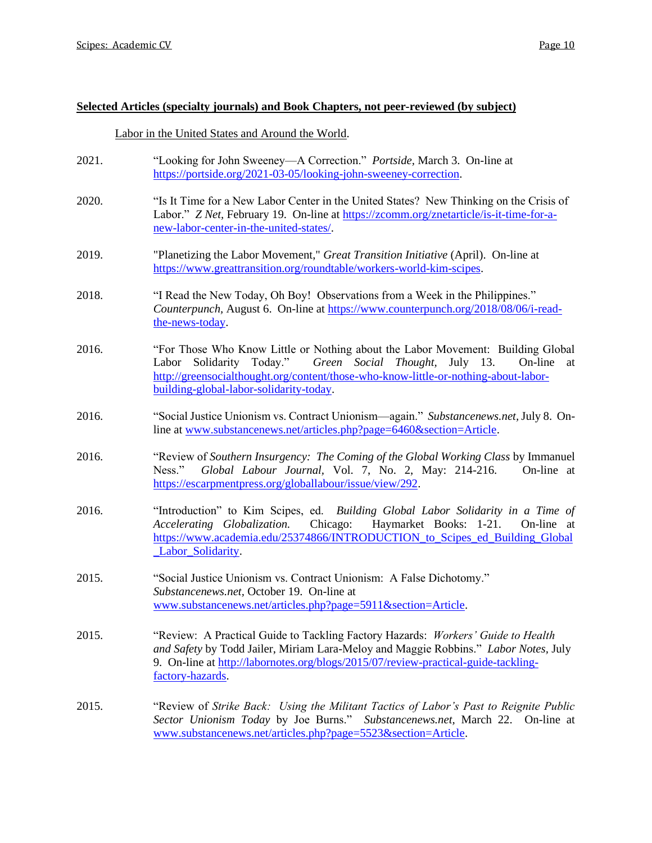### **Selected Articles (specialty journals) and Book Chapters, not peer-reviewed (by subject)**

### Labor in the United States and Around the World.

- 2021. "Looking for John Sweeney—A Correction." *Portside,* March 3. On-line at [https://portside.org/2021-03-05/looking-john-sweeney-correction.](https://portside.org/2021-03-05/looking-john-sweeney-correction)
- 2020. "Is It Time for a New Labor Center in the United States? New Thinking on the Crisis of Labor." *Z Net*, February 19. On-line at [https://zcomm.org/znetarticle/is-it-time-for-a](https://zcomm.org/znetarticle/is-it-time-for-a-new-labor-center-in-the-united-states/)[new-labor-center-in-the-united-states/.](https://zcomm.org/znetarticle/is-it-time-for-a-new-labor-center-in-the-united-states/)
- 2019. "Planetizing the Labor Movement," *Great Transition Initiative* (April). On-line at [https://www.greattransition.org/roundtable/workers-world-kim-scipes.](https://www.greattransition.org/roundtable/workers-world-kim-scipes)
- 2018. "I Read the New Today, Oh Boy! Observations from a Week in the Philippines." *Counterpunch,* August 6. On-line at [https://www.counterpunch.org/2018/08/06/i-read](https://www.counterpunch.org/2018/08/06/i-read-the-news-today)[the-news-today.](https://www.counterpunch.org/2018/08/06/i-read-the-news-today)
- 2016. "For Those Who Know Little or Nothing about the Labor Movement: Building Global Labor Solidarity Today." *Green Social Thought,* July 13. On-line at [http://greensocialthought.org/content/those-who-know-little-or-nothing-about-labor](http://greensocialthought.org/content/those-who-know-little-or-nothing-about-labor-building-global-labor-solidarity-today)[building-global-labor-solidarity-today.](http://greensocialthought.org/content/those-who-know-little-or-nothing-about-labor-building-global-labor-solidarity-today)
- 2016. "Social Justice Unionism vs. Contract Unionism—again." *Substancenews.net,* July 8. Online at [www.substancenews.net/articles.php?page=6460&section=Article.](http://www.substancenews.net/articles.php?page=6460§ion=Article)
- 2016. "Review of *Southern Insurgency: The Coming of the Global Working Class* by Immanuel Ness." *Global Labour Journal,* Vol. 7, No. 2, May: 214-216. On-line at [https://escarpmentpress.org/globallabour/issue/view/292.](https://escarpmentpress.org/globallabour/issue/view/292)
- 2016. "Introduction" to Kim Scipes, ed. *Building Global Labor Solidarity in a Time of Accelerating Globalization.* Chicago: Haymarket Books: 1-21. On-line at [https://www.academia.edu/25374866/INTRODUCTION\\_to\\_Scipes\\_ed\\_Building\\_Global](https://www.academia.edu/25374866/INTRODUCTION_to_Scipes_ed_Building_Global_Labor_Solidarity) Labor Solidarity.
- 2015. "Social Justice Unionism vs. Contract Unionism: A False Dichotomy." *Substancenews.net,* October 19. On-line at [www.substancenews.net/articles.php?page=5911&section=Article.](http://www.substancenews.net/articles.php?page=5911§ion=Article)
- 2015. "Review: A Practical Guide to Tackling Factory Hazards: *Workers' Guide to Health and Safety* by Todd Jailer, Miriam Lara-Meloy and Maggie Robbins." *Labor Notes,* July 9. On-line at [http://labornotes.org/blogs/2015/07/review-practical-guide-tackling](http://labornotes.org/blogs/2015/07/review-practical-guide-tackling-factory-hazards)[factory-hazards.](http://labornotes.org/blogs/2015/07/review-practical-guide-tackling-factory-hazards)
- 2015. "Review of *Strike Back: Using the Militant Tactics of Labor's Past to Reignite Public Sector Unionism Today* by Joe Burns." *Substancenews.net,* March 22. On-line at [www.substancenews.net/articles.php?page=5523&section=Article.](http://www.substancenews.net/articles.php?page=5523§ion=Article)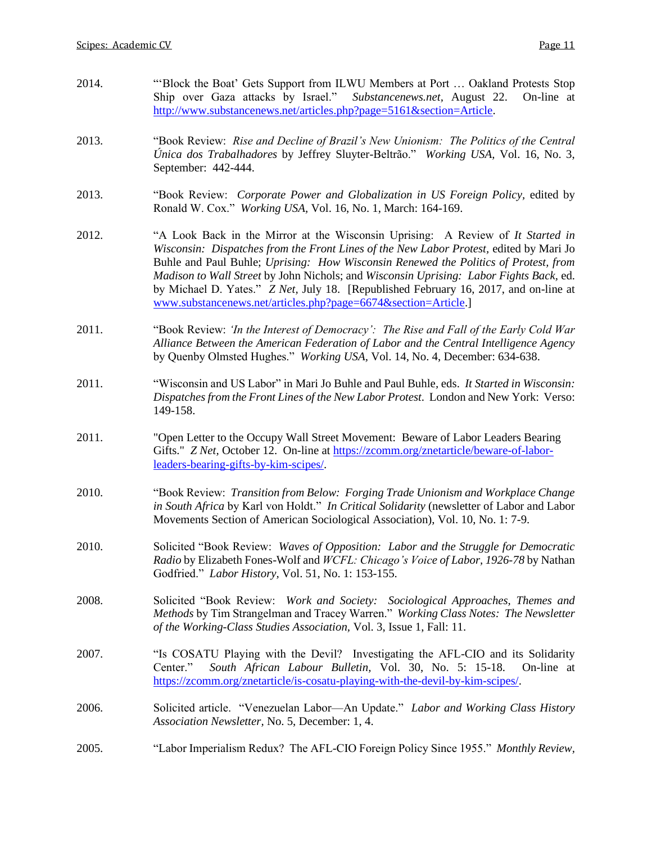| 2014. | "Block the Boat' Gets Support from ILWU Members at Port  Oakland Protests Stop<br>Ship over Gaza attacks by Israel."<br>Substancenews.net, August 22.<br>On-line at<br>http://www.substancenews.net/articles.php?page=5161&section=Article.                                                                                                                                                                                                                                                                          |  |
|-------|----------------------------------------------------------------------------------------------------------------------------------------------------------------------------------------------------------------------------------------------------------------------------------------------------------------------------------------------------------------------------------------------------------------------------------------------------------------------------------------------------------------------|--|
| 2013. | "Book Review: Rise and Decline of Brazil's New Unionism: The Politics of the Central<br>Única dos Trabalhadores by Jeffrey Sluyter-Beltrão." Working USA, Vol. 16, No. 3,<br>September: 442-444.                                                                                                                                                                                                                                                                                                                     |  |
| 2013. | "Book Review: Corporate Power and Globalization in US Foreign Policy, edited by<br>Ronald W. Cox." Working USA, Vol. 16, No. 1, March: 164-169.                                                                                                                                                                                                                                                                                                                                                                      |  |
| 2012. | "A Look Back in the Mirror at the Wisconsin Uprising: A Review of It Started in<br>Wisconsin: Dispatches from the Front Lines of the New Labor Protest, edited by Mari Jo<br>Buhle and Paul Buhle; Uprising: How Wisconsin Renewed the Politics of Protest, from<br>Madison to Wall Street by John Nichols; and Wisconsin Uprising: Labor Fights Back, ed.<br>by Michael D. Yates." Z Net, July 18. [Republished February 16, 2017, and on-line at<br>www.substancenews.net/articles.php?page=6674&section=Article.] |  |
| 2011. | "Book Review: 'In the Interest of Democracy': The Rise and Fall of the Early Cold War<br>Alliance Between the American Federation of Labor and the Central Intelligence Agency<br>by Quenby Olmsted Hughes." Working USA, Vol. 14, No. 4, December: 634-638.                                                                                                                                                                                                                                                         |  |
| 2011. | "Wisconsin and US Labor" in Mari Jo Buhle and Paul Buhle, eds. It Started in Wisconsin:<br>Dispatches from the Front Lines of the New Labor Protest. London and New York: Verso:<br>149-158.                                                                                                                                                                                                                                                                                                                         |  |
| 2011. | "Open Letter to the Occupy Wall Street Movement: Beware of Labor Leaders Bearing<br>Gifts." Z Net, October 12. On-line at https://zcomm.org/znetarticle/beware-of-labor-<br>leaders-bearing-gifts-by-kim-scipes/.                                                                                                                                                                                                                                                                                                    |  |
| 2010. | "Book Review: Transition from Below: Forging Trade Unionism and Workplace Change<br>in South Africa by Karl von Holdt." In Critical Solidarity (newsletter of Labor and Labor<br>Movements Section of American Sociological Association), Vol. 10, No. 1: 7-9.                                                                                                                                                                                                                                                       |  |
| 2010. | Solicited "Book Review: Waves of Opposition: Labor and the Struggle for Democratic<br>Radio by Elizabeth Fones-Wolf and WCFL: Chicago's Voice of Labor, 1926-78 by Nathan<br>Godfried." Labor History, Vol. 51, No. 1: 153-155.                                                                                                                                                                                                                                                                                      |  |
| 2008. | Solicited "Book Review: Work and Society: Sociological Approaches, Themes and<br>Methods by Tim Strangelman and Tracey Warren." Working Class Notes: The Newsletter<br>of the Working-Class Studies Association, Vol. 3, Issue 1, Fall: 11.                                                                                                                                                                                                                                                                          |  |
| 2007. | "Is COSATU Playing with the Devil? Investigating the AFL-CIO and its Solidarity<br>South African Labour Bulletin, Vol. 30, No. 5: 15-18.<br>On-line at<br>Center."<br>https://zcomm.org/znetarticle/is-cosatu-playing-with-the-devil-by-kim-scipes/                                                                                                                                                                                                                                                                  |  |
| 2006. | Solicited article. "Venezuelan Labor—An Update." Labor and Working Class History<br>Association Newsletter, No. 5, December: 1, 4.                                                                                                                                                                                                                                                                                                                                                                                   |  |
| 2005. | "Labor Imperialism Redux? The AFL-CIO Foreign Policy Since 1955." Monthly Review,                                                                                                                                                                                                                                                                                                                                                                                                                                    |  |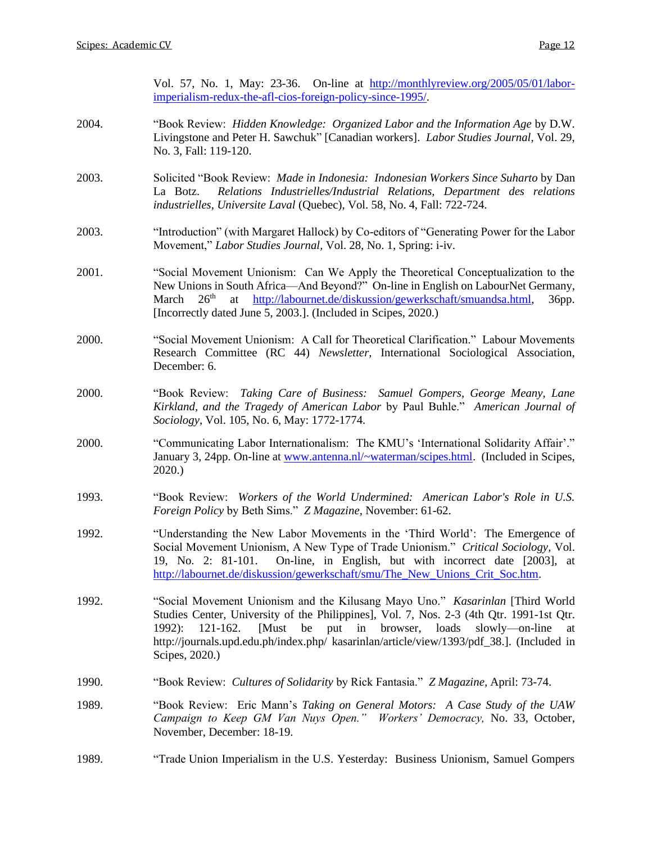|       | Vol. 57, No. 1, May: 23-36. On-line at http://monthlyreview.org/2005/05/01/labor-<br>imperialism-redux-the-afl-cios-foreign-policy-since-1995/                                                                                                                                                                                                                                 |  |  |
|-------|--------------------------------------------------------------------------------------------------------------------------------------------------------------------------------------------------------------------------------------------------------------------------------------------------------------------------------------------------------------------------------|--|--|
| 2004. | "Book Review: Hidden Knowledge: Organized Labor and the Information Age by D.W.<br>Livingstone and Peter H. Sawchuk" [Canadian workers]. Labor Studies Journal, Vol. 29,<br>No. 3, Fall: 119-120.                                                                                                                                                                              |  |  |
| 2003. | Solicited "Book Review: Made in Indonesia: Indonesian Workers Since Suharto by Dan<br>Relations Industrielles/Industrial Relations, Department des relations<br>La Botz.<br>industrielles, Universite Laval (Quebec), Vol. 58, No. 4, Fall: 722-724.                                                                                                                           |  |  |
| 2003. | "Introduction" (with Margaret Hallock) by Co-editors of "Generating Power for the Labor<br>Movement," Labor Studies Journal, Vol. 28, No. 1, Spring: i-iv.                                                                                                                                                                                                                     |  |  |
| 2001. | "Social Movement Unionism: Can We Apply the Theoretical Conceptualization to the<br>New Unions in South Africa-And Beyond?" On-line in English on LabourNet Germany,<br>26 <sup>th</sup><br>at http://labournet.de/diskussion/gewerkschaft/smuandsa.html,<br>March<br><b>Збрр.</b><br>[Incorrectly dated June 5, 2003.]. (Included in Scipes, 2020.)                           |  |  |
| 2000. | "Social Movement Unionism: A Call for Theoretical Clarification." Labour Movements<br>Research Committee (RC 44) Newsletter, International Sociological Association,<br>December: 6.                                                                                                                                                                                           |  |  |
| 2000. | "Book Review: Taking Care of Business: Samuel Gompers, George Meany, Lane<br>Kirkland, and the Tragedy of American Labor by Paul Buhle." American Journal of<br>Sociology, Vol. 105, No. 6, May: 1772-1774.                                                                                                                                                                    |  |  |
| 2000. | "Communicating Labor Internationalism: The KMU's 'International Solidarity Affair'."<br>January 3, 24pp. On-line at www.antenna.nl/~waterman/scipes.html. (Included in Scipes,<br>2020.                                                                                                                                                                                        |  |  |
| 1993. | "Book Review: Workers of the World Undermined: American Labor's Role in U.S.<br>Foreign Policy by Beth Sims." Z Magazine, November: 61-62.                                                                                                                                                                                                                                     |  |  |
| 1992. | "Understanding the New Labor Movements in the 'Third World': The Emergence of<br>Social Movement Unionism, A New Type of Trade Unionism." Critical Sociology, Vol.<br>19, No. 2: 81-101. On-line, in English, but with incorrect date [2003], at<br>http://labournet.de/diskussion/gewerkschaft/smu/The New Unions Crit Soc.htm.                                               |  |  |
| 1992. | "Social Movement Unionism and the Kilusang Mayo Uno." Kasarinlan [Third World<br>Studies Center, University of the Philippines], Vol. 7, Nos. 2-3 (4th Qtr. 1991-1st Qtr.<br>[Must be put in browser, loads<br>$121 - 162.$<br>slowly—on-line<br>$1992$ :<br>at<br>http://journals.upd.edu.ph/index.php/ kasarinlan/article/view/1393/pdf_38.]. (Included in<br>Scipes, 2020.) |  |  |
| 1990. | "Book Review: Cultures of Solidarity by Rick Fantasia." Z Magazine, April: 73-74.                                                                                                                                                                                                                                                                                              |  |  |
| 1989. | "Book Review: Eric Mann's Taking on General Motors: A Case Study of the UAW<br>Campaign to Keep GM Van Nuys Open." Workers' Democracy, No. 33, October,<br>November, December: 18-19.                                                                                                                                                                                          |  |  |
| 1989. | "Trade Union Imperialism in the U.S. Yesterday: Business Unionism, Samuel Gompers                                                                                                                                                                                                                                                                                              |  |  |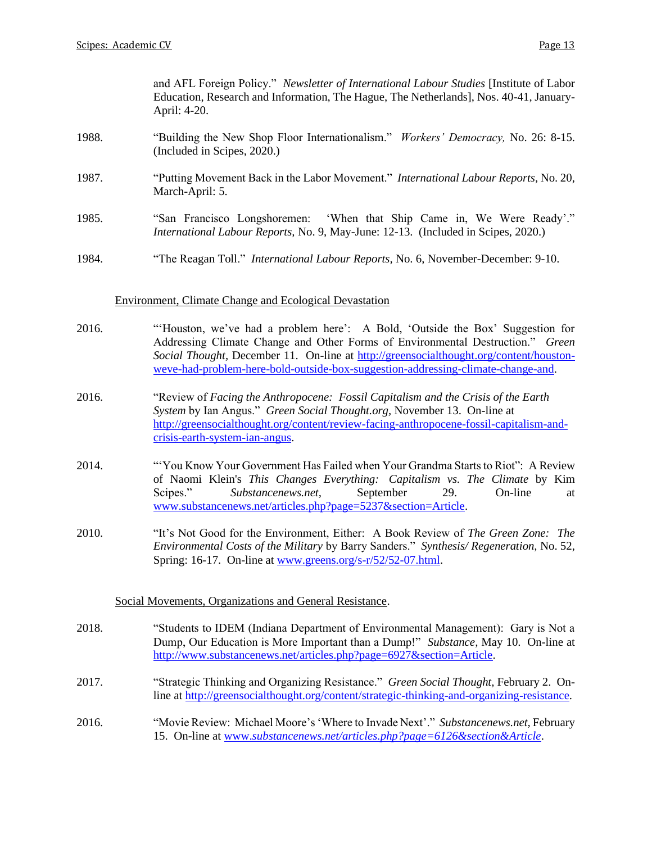and AFL Foreign Policy." *Newsletter of International Labour Studies* [Institute of Labor Education, Research and Information, The Hague, The Netherlands], Nos. 40-41, January-April: 4-20.

- 1988. "Building the New Shop Floor Internationalism." *Workers' Democracy,* No. 26: 8-15. (Included in Scipes, 2020.)
- 1987. "Putting Movement Back in the Labor Movement." *International Labour Reports,* No. 20, March-April: 5.
- 1985. "San Francisco Longshoremen: 'When that Ship Came in, We Were Ready'." *International Labour Reports,* No. 9, May-June: 12-13. (Included in Scipes, 2020.)
- 1984. "The Reagan Toll." *International Labour Reports,* No. 6, November-December: 9-10.

### Environment, Climate Change and Ecological Devastation

- 2016. "'Houston, we've had a problem here': A Bold, 'Outside the Box' Suggestion for Addressing Climate Change and Other Forms of Environmental Destruction." *Green Social Thought,* December 11. On-line at [http://greensocialthought.org/content/houston](http://greensocialthought.org/content/houston-weve-had-problem-here-bold-outside-box-suggestion-addressing-climate-change-and)[weve-had-problem-here-bold-outside-box-suggestion-addressing-climate-change-and.](http://greensocialthought.org/content/houston-weve-had-problem-here-bold-outside-box-suggestion-addressing-climate-change-and)
- 2016. "Review of *Facing the Anthropocene: Fossil Capitalism and the Crisis of the Earth System* by Ian Angus." *Green Social Thought.org,* November 13. On-line at [http://greensocialthought.org/content/review-facing-anthropocene-fossil-capitalism-and](http://greensocialthought.org/content/review-facing-anthropocene-fossil-capitalism-and-crisis-earth-system-ian-angus)[crisis-earth-system-ian-angus.](http://greensocialthought.org/content/review-facing-anthropocene-fossil-capitalism-and-crisis-earth-system-ian-angus)
- 2014. "'You Know Your Government Has Failed when Your Grandma Starts to Riot": A Review of Naomi Klein's *This Changes Everything: Capitalism vs. The Climate* by Kim Scipes." *Substancenews.net,* September 29. On-line at [www.substancenews.net/articles.php?page=5237&section=Article.](http://www.substancenews.net/articles.php?page=5237§ion=Article)
- 2010. "It's Not Good for the Environment, Either: A Book Review of *The Green Zone: The Environmental Costs of the Military* by Barry Sanders." *Synthesis/ Regeneration,* No. 52, Spring: 16-17. On-line at [www.greens.org/s-r/52/52-07.html.](http://www.greens.org/s-r/52/52-07.html)

### Social Movements, Organizations and General Resistance.

- 2018. "Students to IDEM (Indiana Department of Environmental Management): Gary is Not a Dump, Our Education is More Important than a Dump!" *Substance,* May 10. On-line at [http://www.substancenews.net/articles.php?page=6927&section=Article.](http://www.substancenews.net/articles.php?page=6927§ion=Article)
- 2017. "Strategic Thinking and Organizing Resistance." *Green Social Thought,* February 2. Online at [http://greensocialthought.org/content/strategic-thinking-and-organizing-resistance.](http://greensocialthought.org/content/strategic-thinking-and-organizing-resistance)
- 2016. "Movie Review: Michael Moore's 'Where to Invade Next'." *Substancenews.net,* February 15. On-line at www.*[substancenews.net/articles.php?page=6126&section&Article](http://www.substancenews.net/articles.php?page=6126§ion&Article)*.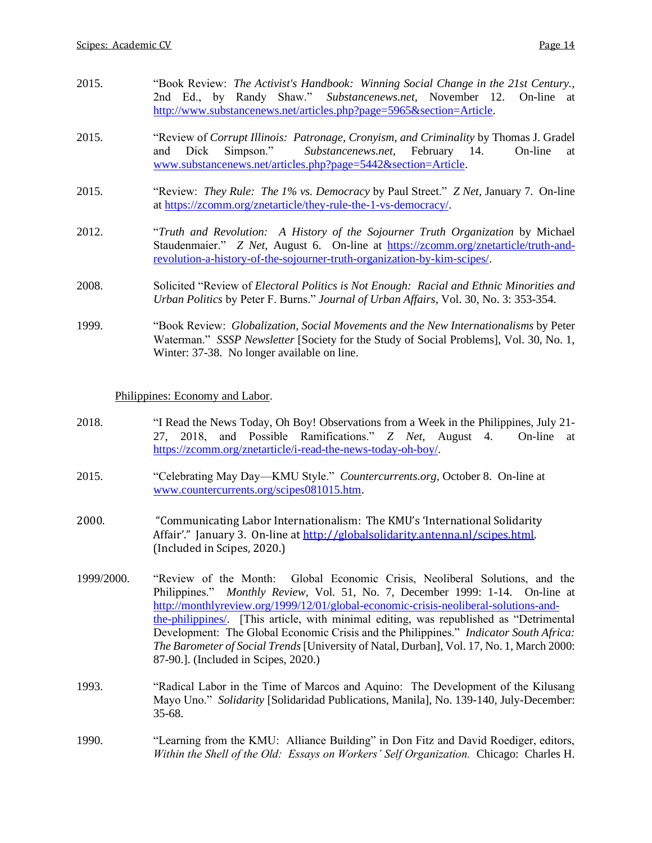| 2015. | "Book Review: The Activist's Handbook: Winning Social Change in the 21st Century.,<br>2nd Ed., by Randy Shaw." Substancenews.net, November 12. On-line at<br>http://www.substancenews.net/articles.php?page=5965&section=Article.                  |
|-------|----------------------------------------------------------------------------------------------------------------------------------------------------------------------------------------------------------------------------------------------------|
| 2015. | "Review of Corrupt Illinois: Patronage, Cronyism, and Criminality by Thomas J. Gradel<br>Simpson." Substancenews.net, February 14.<br>Dick<br>On-line<br>and<br>at<br>www.substancenews.net/articles.php?page=5442&section=Article.                |
| 2015. | "Review: They Rule: The 1% vs. Democracy by Paul Street." Z Net, January 7. On-line<br>at https://zcomm.org/znetarticle/they-rule-the-1-vs-democracy/.                                                                                             |
| 2012. | "Truth and Revolution: A History of the Sojourner Truth Organization by Michael<br>Staudenmaier." Z Net, August 6. On-line at https://zcomm.org/znetarticle/truth-and-<br>revolution-a-history-of-the-sojourner-truth-organization-by-kim-scipes/. |
| 2008. | Solicited "Review of <i>Electoral Politics is Not Enough: Racial and Ethnic Minorities and</i><br>Urban Politics by Peter F. Burns." Journal of Urban Affairs, Vol. 30, No. 3: 353-354.                                                            |
| 1999. | "Book Review: Globalization, Social Movements and the New Internationalisms by Peter<br>Waterman." SSSP Newsletter [Society for the Study of Social Problems], Vol. 30, No. 1,                                                                     |

Philippines: Economy and Labor.

Winter: 37-38. No longer available on line.

- 2018. "I Read the News Today, Oh Boy! Observations from a Week in the Philippines, July 21- 27, 2018, and Possible Ramifications." *Z Net,* August 4. On-line at [https://zcomm.org/znetarticle/i-read-the-news-today-oh-boy/.](https://zcomm.org/znetarticle/i-read-the-news-today-oh-boy/)
- 2015. "Celebrating May Day—KMU Style." *Countercurrents.org,* October 8. On-line at [www.countercurrents.org/scipes081015.htm.](http://www.countercurrents.org/scipes081015.htm)
- 2000. "Communicating Labor Internationalism: The KMU's 'International Solidarity Affair'." January 3. On-line a[t http://globalsolidarity.antenna.nl/scipes.html.](http://globalsolidarity.antenna.nl/scipes.html) (Included in Scipes, 2020.)
- 1999/2000. "Review of the Month: Global Economic Crisis, Neoliberal Solutions, and the Philippines." *Monthly Review,* Vol. 51, No. 7, December 1999: 1-14. On-line at [http://monthlyreview.org/1999/12/01/global-economic-crisis-neoliberal-solutions-and](http://monthlyreview.org/1999/12/01/global-economic-crisis-neoliberal-solutions-and-the-philippines/)[the-philippines/.](http://monthlyreview.org/1999/12/01/global-economic-crisis-neoliberal-solutions-and-the-philippines/) [This article, with minimal editing, was republished as "Detrimental Development: The Global Economic Crisis and the Philippines." *Indicator South Africa: The Barometer of Social Trends*[University of Natal, Durban], Vol. 17, No. 1, March 2000: 87-90.]. (Included in Scipes, 2020.)
- 1993. "Radical Labor in the Time of Marcos and Aquino: The Development of the Kilusang Mayo Uno." *Solidarity* [Solidaridad Publications, Manila], No. 139-140, July-December: 35-68.
- 1990. "Learning from the KMU: Alliance Building" in Don Fitz and David Roediger, editors, *Within the Shell of the Old: Essays on Workers' Self Organization.* Chicago: Charles H.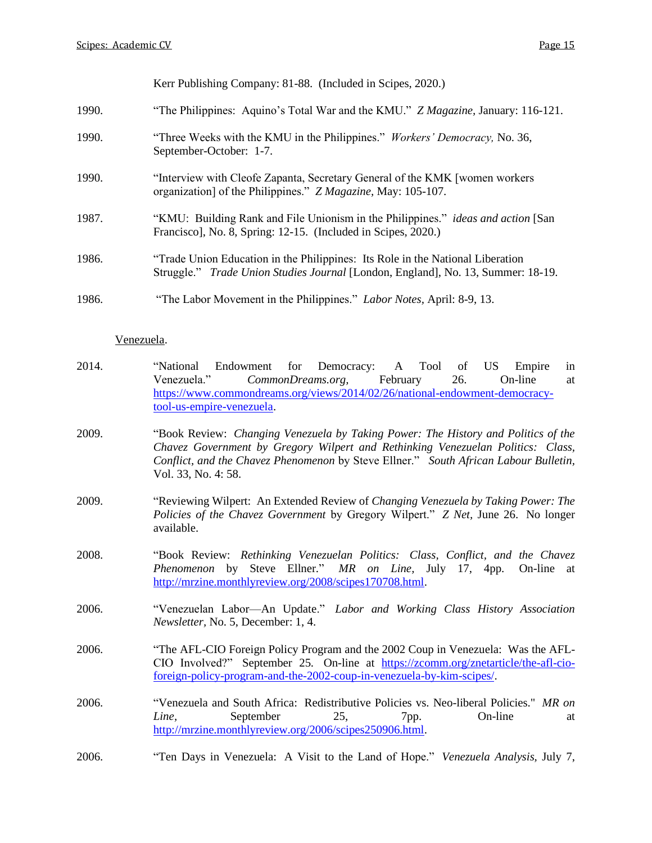Kerr Publishing Company: 81-88. (Included in Scipes, 2020.)

- 1990. "The Philippines: Aquino's Total War and the KMU." *Z Magazine,* January: 116-121.
- 1990. "Three Weeks with the KMU in the Philippines." *Workers' Democracy,* No. 36, September-October: 1-7.
- 1990. "Interview with Cleofe Zapanta, Secretary General of the KMK [women workers organization] of the Philippines." *Z Magazine,* May: 105-107.
- 1987. "KMU: Building Rank and File Unionism in the Philippines." *ideas and action* [San Francisco], No. 8, Spring: 12-15. (Included in Scipes, 2020.)
- 1986. "Trade Union Education in the Philippines: Its Role in the National Liberation Struggle." *Trade Union Studies Journal* [London, England], No. 13, Summer: 18-19.

#### Venezuela.

- 2014. "National Endowment for Democracy: A Tool of US Empire in Venezuela." *CommonDreams.org,* February 26. On-line at [https://www.commondreams.org/views/2014/02/26/national-endowment-democracy](https://www.commondreams.org/views/2014/02/26/national-endowment-democracy-tool-us-empire-venezuela)[tool-us-empire-venezuela.](https://www.commondreams.org/views/2014/02/26/national-endowment-democracy-tool-us-empire-venezuela)
- 2009. "Book Review: *Changing Venezuela by Taking Power: The History and Politics of the Chavez Government by Gregory Wilpert and Rethinking Venezuelan Politics: Class, Conflict, and the Chavez Phenomenon* by Steve Ellner." *South African Labour Bulletin,* Vol. 33, No. 4: 58.
- 2009. "Reviewing Wilpert: An Extended Review of *Changing Venezuela by Taking Power: The Policies of the Chavez Government* by Gregory Wilpert." *Z Net,* June 26. No longer available.
- 2008. "Book Review: *Rethinking Venezuelan Politics: Class, Conflict, and the Chavez Phenomenon* by Steve Ellner*.*" *MR on Line,* July 17, 4pp. On-line at [http://mrzine.monthlyreview.org/2008/scipes170708.html.](http://mrzine.monthlyreview.org/2008/scipes170708.html)
- 2006. "Venezuelan Labor—An Update." *Labor and Working Class History Association Newsletter,* No. 5, December: 1, 4.
- 2006. "The AFL-CIO Foreign Policy Program and the 2002 Coup in Venezuela: Was the AFL-CIO Involved?" September 25. On-line at [https://zcomm.org/znetarticle/the-afl-cio](https://zcomm.org/znetarticle/the-afl-cio-foreign-policy-program-and-the-2002-coup-in-venezuela-by-kim-scipes/)[foreign-policy-program-and-the-2002-coup-in-venezuela-by-kim-scipes/.](https://zcomm.org/znetarticle/the-afl-cio-foreign-policy-program-and-the-2002-coup-in-venezuela-by-kim-scipes/)
- 2006. "Venezuela and South Africa: Redistributive Policies vs. Neo-liberal Policies." *MR on Line*, September 25, 7pp. On-line at [http://mrzine.monthlyreview.org/2006/scipes250906.html.](http://mrzine.monthlyreview.org/2006/scipes250906.html)
- 2006. "Ten Days in Venezuela: A Visit to the Land of Hope." *Venezuela Analysis,* July 7,

<sup>1986.</sup> "The Labor Movement in the Philippines." *Labor Notes,* April: 8-9, 13.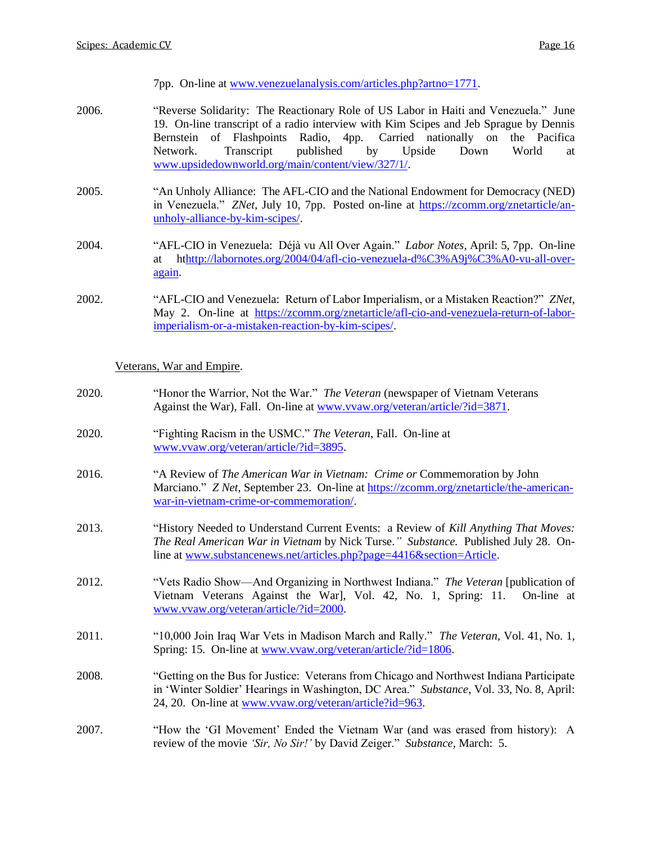7pp. On-line at [www.venezuelanalysis.com/articles.php?artno=1771.](http://www.venezuelanalysis.com/articles.php?artno=1771)

- 2006. "Reverse Solidarity: The Reactionary Role of US Labor in Haiti and Venezuela." June 19. On-line transcript of a radio interview with Kim Scipes and Jeb Sprague by Dennis Bernstein of Flashpoints Radio, 4pp. Carried nationally on the Pacifica Network. Transcript published by Upside Down World at [www.upsidedownworld.org/main/content/view/327/1/.](http://www.upsidedownworld.org/main/content/view/327/1/)
- 2005. "An Unholy Alliance: The AFL-CIO and the National Endowment for Democracy (NED) in Venezuela." *ZNet,* July 10, 7pp. Posted on-line at [https://zcomm.org/znetarticle/an](https://zcomm.org/znetarticle/an-unholy-alliance-by-kim-scipes/)[unholy-alliance-by-kim-scipes/.](https://zcomm.org/znetarticle/an-unholy-alliance-by-kim-scipes/)
- 2004. "AFL-CIO in Venezuela: Déjà vu All Over Again." *Labor Notes,* April: 5, 7pp. On-line at h[thttp://labornotes.org/2004/04/afl-cio-venezuela-d%C3%A9j%C3%A0-vu-all-over](http://labornotes.org/2004/04/afl-cio-venezuela-d%C3%A9j%C3%A0-vu-all-over-again)[again.](http://labornotes.org/2004/04/afl-cio-venezuela-d%C3%A9j%C3%A0-vu-all-over-again)
- 2002. "AFL-CIO and Venezuela: Return of Labor Imperialism, or a Mistaken Reaction?" *ZNet,*  May 2. On-line at [https://zcomm.org/znetarticle/afl-cio-and-venezuela-return-of-labor](https://zcomm.org/znetarticle/afl-cio-and-venezuela-return-of-labor-imperialism-or-a-mistaken-reaction-by-kim-scipes/)[imperialism-or-a-mistaken-reaction-by-kim-scipes/.](https://zcomm.org/znetarticle/afl-cio-and-venezuela-return-of-labor-imperialism-or-a-mistaken-reaction-by-kim-scipes/)

Veterans, War and Empire.

- 2020. "Honor the Warrior, Not the War." *The Veteran* (newspaper of Vietnam Veterans Against the War), Fall. On-line a[t www.vvaw.org/veteran/article/?id=3871.](http://www.vvaw.org/veteran/article/?id=3871)
- 2020. "Fighting Racism in the USMC." *The Veteran*, Fall. On-line at [www.vvaw.org/veteran/article/?id=3895.](http://www.vvaw.org/veteran/article/?id=3895)
- 2016. "A Review of *The American War in Vietnam: Crime or* Commemoration by John Marciano." *Z Net,* September 23. On-line at [https://zcomm.org/znetarticle/the-american](https://zcomm.org/znetarticle/the-american-war-in-vietnam-crime-or-commemoration/)[war-in-vietnam-crime-or-commemoration/.](https://zcomm.org/znetarticle/the-american-war-in-vietnam-crime-or-commemoration/)
- 2013. "History Needed to Understand Current Events: a Review of *Kill Anything That Moves: The Real American War in Vietnam* by Nick Turse.*" Substance.* Published July 28. Online at [www.substancenews.net/articles.php?page=4416&section=Article.](http://www.substancenews.net/articles.php?page=4416§ion=Article)
- 2012. "Vets Radio Show—And Organizing in Northwest Indiana." *The Veteran* [publication of Vietnam Veterans Against the War], Vol. 42, No. 1, Spring: 11. On-line at [www.vvaw.org/veteran/article/?id=2000.](http://www.vvaw.org/veteran/article/?id=2000)
- 2011. "10,000 Join Iraq War Vets in Madison March and Rally." *The Veteran,* Vol. 41, No. 1, Spring: 15. On-line at [www.vvaw.org/veteran/article/?id=1806.](http://www.vvaw.org/veteran/article/?id=1806)
- 2008. "Getting on the Bus for Justice: Veterans from Chicago and Northwest Indiana Participate in 'Winter Soldier' Hearings in Washington, DC Area." *Substance*, Vol. 33, No. 8, April: 24, 20. On-line at [www.vvaw.org/veteran/article?id=963.](http://www.vvaw.org/veteran/article?id=963)
- 2007. "How the 'GI Movement' Ended the Vietnam War (and was erased from history): A review of the movie *'Sir, No Sir!'* by David Zeiger." *Substance,* March: 5.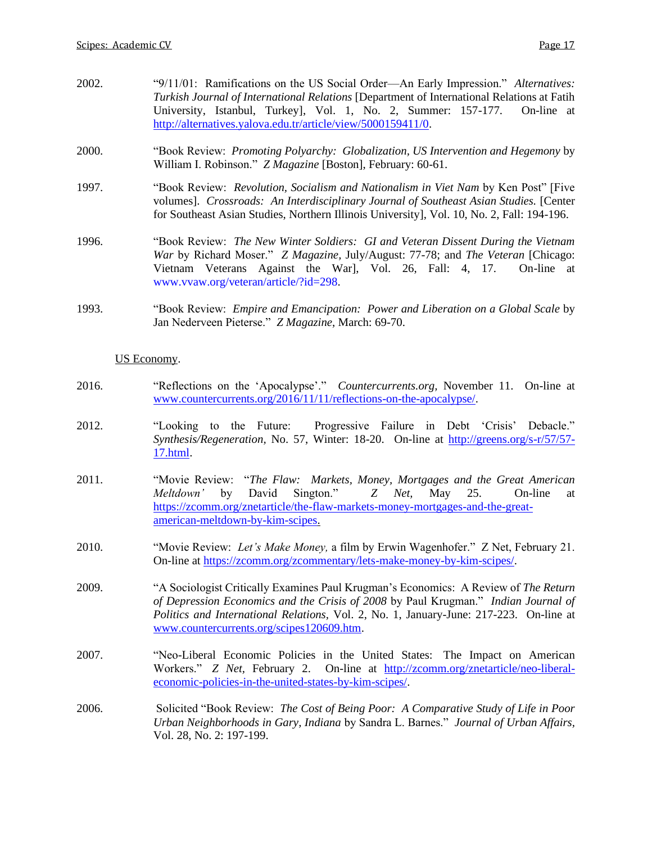| 2002. | "9/11/01: Ramifications on the US Social Order—An Early Impression." Alternatives:                                                                                                                                                                                                                            |  |  |
|-------|---------------------------------------------------------------------------------------------------------------------------------------------------------------------------------------------------------------------------------------------------------------------------------------------------------------|--|--|
|       | Turkish Journal of International Relations [Department of International Relations at Fatih                                                                                                                                                                                                                    |  |  |
|       | University, Istanbul, Turkey], Vol. 1, No. 2, Summer: 157-177.<br>On-line at<br>http://alternatives.yalova.edu.tr/article/view/5000159411/0.                                                                                                                                                                  |  |  |
| 2000. | "Book Review: <i>Promoting Polyarchy: Globalization, US Intervention and Hegemony</i> by<br>William I. Robinson." Z Magazine [Boston], February: 60-61.                                                                                                                                                       |  |  |
| 1997. | "Book Review: <i>Revolution, Socialism and Nationalism in Viet Nam</i> by Ken Post" [Five<br>volumes]. Crossroads: An Interdisciplinary Journal of Southeast Asian Studies. [Center<br>for Southeast Asian Studies, Northern Illinois University], Vol. 10, No. 2, Fall: 194-196.                             |  |  |
| 1996. | "Book Review: The New Winter Soldiers: GI and Veteran Dissent During the Vietnam<br><i>War</i> by Richard Moser." <i>Z Magazine</i> , July/August: 77-78; and <i>The Veteran</i> [Chicago:<br>Vietnam Veterans Against the War], Vol. 26, Fall: 4, 17.<br>On-line at<br>www.vvaw.org/veteran/article/?id=298. |  |  |

1993. "Book Review: *Empire and Emancipation: Power and Liberation on a Global Scale* by Jan Nederveen Pieterse." *Z Magazine*, March: 69-70.

## US Economy.

- 2016. "Reflections on the 'Apocalypse'." *Countercurrents.org,* November 11. On-line at [www.countercurrents.org/2016/11/11/reflections-on-the-apocalypse/.](http://www.countercurrents.org/2016/11/11/reflections-on-the-apocalypse/)
- 2012. "Looking to the Future: Progressive Failure in Debt 'Crisis' Debacle." *Synthesis/Regeneration,* No. 57, Winter: 18-20. On-line at [http://greens.org/s-r/57/57-](http://greens.org/s-r/57/57-17.html) [17.html.](http://greens.org/s-r/57/57-17.html)
- 2011. "Movie Review: "*The Flaw: Markets, Money, Mortgages and the Great American Meltdown'* by David Sington." *Z Net,* May 25. On-line at [https://zcomm.org/znetarticle/the-flaw-markets-money-mortgages-and-the-great](https://zcomm.org/znetarticle/the-flaw-markets-money-mortgages-and-the-great-american-meltdown-by-kim-scipes)[american-meltdown-by-kim-scipes.](https://zcomm.org/znetarticle/the-flaw-markets-money-mortgages-and-the-great-american-meltdown-by-kim-scipes)
- 2010. "Movie Review: *Let's Make Money,* a film by Erwin Wagenhofer." Z Net, February 21. On-line at [https://zcomm.org/zcommentary/lets-make-money-by-kim-scipes/.](https://zcomm.org/zcommentary/lets-make-money-by-kim-scipes/)
- 2009. "A Sociologist Critically Examines Paul Krugman's Economics: A Review of *The Return of Depression Economics and the Crisis of 2008* by Paul Krugman." *Indian Journal of Politics and International Relations,* Vol. 2, No. 1, January-June: 217-223. On-line at [www.countercurrents.org/scipes120609.htm.](http://www.countercurrents.org/scipes120609.htm)
- 2007. "Neo-Liberal Economic Policies in the United States: The Impact on American Workers." *Z Net,* February 2. On-line at [http://zcomm.org/znetarticle/neo-liberal](http://zcomm.org/znetarticle/neo-liberal-economic-policies-in-the-united-states-by-kim-scipes/)[economic-policies-in-the-united-states-by-kim-scipes/.](http://zcomm.org/znetarticle/neo-liberal-economic-policies-in-the-united-states-by-kim-scipes/)
- 2006. Solicited "Book Review: *The Cost of Being Poor: A Comparative Study of Life in Poor Urban Neighborhoods in Gary, Indiana* by Sandra L. Barnes." *Journal of Urban Affairs,* Vol. 28, No. 2: 197-199.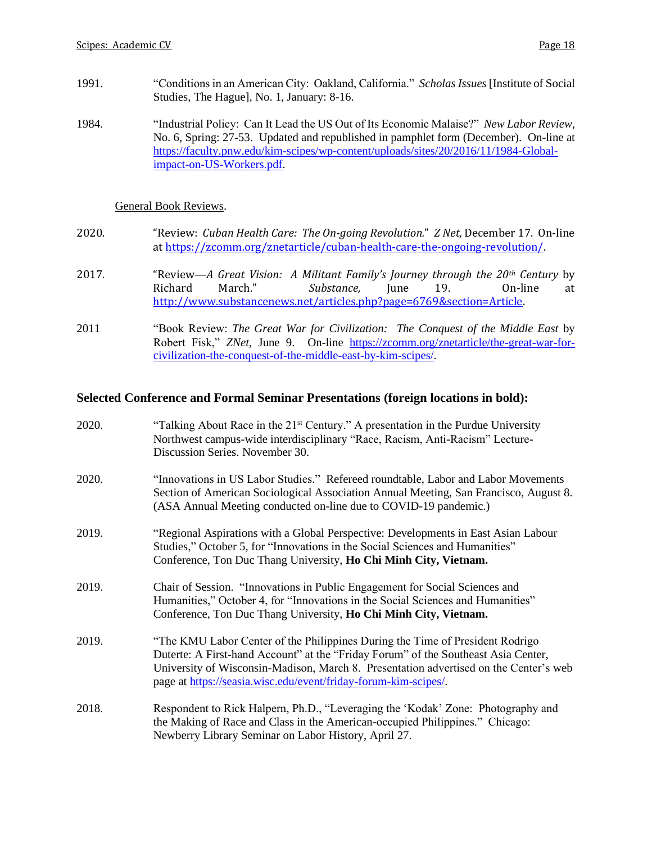- 1991. "Conditions in an American City: Oakland, California." *Scholas Issues* [Institute of Social Studies, The Hague], No. 1, January: 8-16.
- 1984. "Industrial Policy: Can It Lead the US Out of Its Economic Malaise?" *New Labor Review,* No. 6, Spring: 27-53. Updated and republished in pamphlet form (December). On-line at [https://faculty.pnw.edu/kim-scipes/wp-content/uploads/sites/20/2016/11/1984-Global](https://faculty.pnw.edu/kim-scipes/wp-content/uploads/sites/20/2016/11/1984-Global-impact-on-US-Workers.pdf)[impact-on-US-Workers.pdf.](https://faculty.pnw.edu/kim-scipes/wp-content/uploads/sites/20/2016/11/1984-Global-impact-on-US-Workers.pdf)

## General Book Reviews.

- 2020. "Review: *Cuban Health Care: The On-going Revolution.*" *Z Net,* December 17. On-line a[t https://zcomm.org/znetarticle/cuban-health-care-the-ongoing-revolution/.](https://zcomm.org/znetarticle/cuban-health-care-the-ongoing-revolution/)
- 2017. "Review—*A Great Vision: A Militant Family's Journey through the 20th Century* by Richard March." *Substance,* June 19. On-line at [http://www.substancenews.net/articles.php?page=6769&section=Article.](http://www.substancenews.net/articles.php?page=6769§ion=Article)
- 2011 "Book Review: *The Great War for Civilization: The Conquest of the Middle East* by Robert Fisk," *ZNet,* June 9. On-line [https://zcomm.org/znetarticle/the-great-war-for](https://zcomm.org/znetarticle/the-great-war-for-civilization-the-conquest-of-the-middle-east-by-kim-scipes/)[civilization-the-conquest-of-the-middle-east-by-kim-scipes/.](https://zcomm.org/znetarticle/the-great-war-for-civilization-the-conquest-of-the-middle-east-by-kim-scipes/)

## **Selected Conference and Formal Seminar Presentations (foreign locations in bold):**

| 2020. | "Talking About Race in the 21 <sup>st</sup> Century." A presentation in the Purdue University<br>Northwest campus-wide interdisciplinary "Race, Racism, Anti-Racism" Lecture-<br>Discussion Series. November 30.                                                                                                                |
|-------|---------------------------------------------------------------------------------------------------------------------------------------------------------------------------------------------------------------------------------------------------------------------------------------------------------------------------------|
| 2020. | "Innovations in US Labor Studies." Refereed roundtable, Labor and Labor Movements<br>Section of American Sociological Association Annual Meeting, San Francisco, August 8.<br>(ASA Annual Meeting conducted on-line due to COVID-19 pandemic.)                                                                                  |
| 2019. | "Regional Aspirations with a Global Perspective: Developments in East Asian Labour<br>Studies," October 5, for "Innovations in the Social Sciences and Humanities"<br>Conference, Ton Duc Thang University, Ho Chi Minh City, Vietnam.                                                                                          |
| 2019. | Chair of Session. "Innovations in Public Engagement for Social Sciences and<br>Humanities," October 4, for "Innovations in the Social Sciences and Humanities"<br>Conference, Ton Duc Thang University, Ho Chi Minh City, Vietnam.                                                                                              |
| 2019. | "The KMU Labor Center of the Philippines During the Time of President Rodrigo<br>Duterte: A First-hand Account" at the "Friday Forum" of the Southeast Asia Center,<br>University of Wisconsin-Madison, March 8. Presentation advertised on the Center's web<br>page at https://seasia.wisc.edu/event/friday-forum-kim-scipes/. |
| 2018. | Respondent to Rick Halpern, Ph.D., "Leveraging the 'Kodak' Zone: Photography and<br>the Making of Race and Class in the American-occupied Philippines." Chicago:<br>Newberry Library Seminar on Labor History, April 27.                                                                                                        |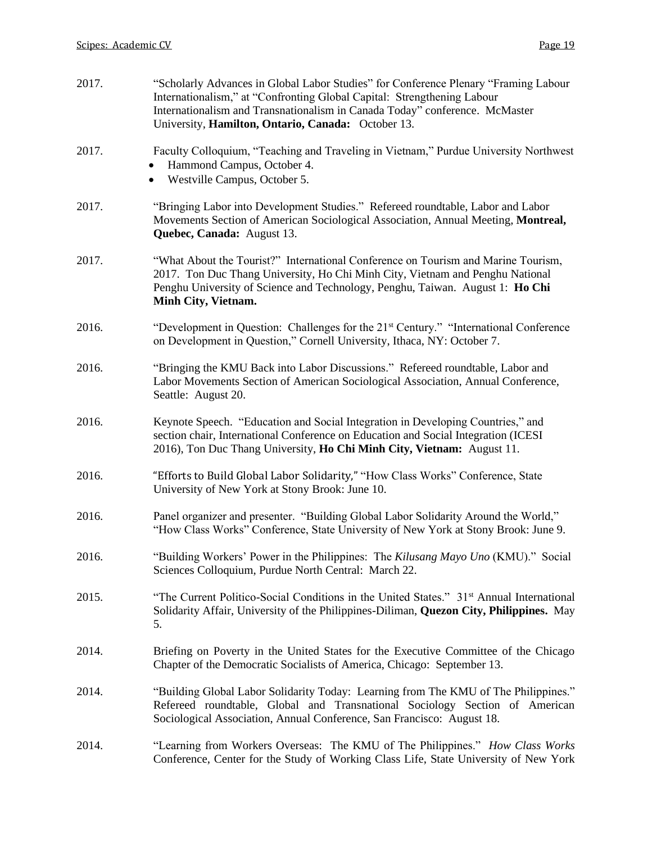| 2017. | "Scholarly Advances in Global Labor Studies" for Conference Plenary "Framing Labour<br>Internationalism," at "Confronting Global Capital: Strengthening Labour<br>Internationalism and Transnationalism in Canada Today" conference. McMaster<br>University, Hamilton, Ontario, Canada: October 13. |
|-------|-----------------------------------------------------------------------------------------------------------------------------------------------------------------------------------------------------------------------------------------------------------------------------------------------------|
| 2017. | Faculty Colloquium, "Teaching and Traveling in Vietnam," Purdue University Northwest<br>Hammond Campus, October 4.<br>Westville Campus, October 5.                                                                                                                                                  |
| 2017. | "Bringing Labor into Development Studies." Refereed roundtable, Labor and Labor<br>Movements Section of American Sociological Association, Annual Meeting, Montreal,<br>Quebec, Canada: August 13.                                                                                                  |
| 2017. | "What About the Tourist?" International Conference on Tourism and Marine Tourism,<br>2017. Ton Duc Thang University, Ho Chi Minh City, Vietnam and Penghu National<br>Penghu University of Science and Technology, Penghu, Taiwan. August 1: Ho Chi<br>Minh City, Vietnam.                          |
| 2016. | "Development in Question: Challenges for the 21 <sup>st</sup> Century." "International Conference"<br>on Development in Question," Cornell University, Ithaca, NY: October 7.                                                                                                                       |
| 2016. | "Bringing the KMU Back into Labor Discussions." Refereed roundtable, Labor and<br>Labor Movements Section of American Sociological Association, Annual Conference,<br>Seattle: August 20.                                                                                                           |
| 2016. | Keynote Speech. "Education and Social Integration in Developing Countries," and<br>section chair, International Conference on Education and Social Integration (ICESI<br>2016), Ton Duc Thang University, Ho Chi Minh City, Vietnam: August 11.                                                     |
| 2016. | "Efforts to Build Global Labor Solidarity," "How Class Works" Conference, State<br>University of New York at Stony Brook: June 10.                                                                                                                                                                  |
| 2016. | Panel organizer and presenter. "Building Global Labor Solidarity Around the World,"<br>"How Class Works" Conference, State University of New York at Stony Brook: June 9.                                                                                                                           |
| 2016. | "Building Workers' Power in the Philippines: The Kilusang Mayo Uno (KMU)." Social<br>Sciences Colloquium, Purdue North Central: March 22.                                                                                                                                                           |
| 2015. | "The Current Politico-Social Conditions in the United States." 31 <sup>st</sup> Annual International<br>Solidarity Affair, University of the Philippines-Diliman, Quezon City, Philippines. May<br>5.                                                                                               |
| 2014. | Briefing on Poverty in the United States for the Executive Committee of the Chicago<br>Chapter of the Democratic Socialists of America, Chicago: September 13.                                                                                                                                      |
| 2014. | "Building Global Labor Solidarity Today: Learning from The KMU of The Philippines."<br>Refereed roundtable, Global and Transnational Sociology Section of American<br>Sociological Association, Annual Conference, San Francisco: August 18.                                                        |
| 2014. | "Learning from Workers Overseas: The KMU of The Philippines." How Class Works<br>Conference, Center for the Study of Working Class Life, State University of New York                                                                                                                               |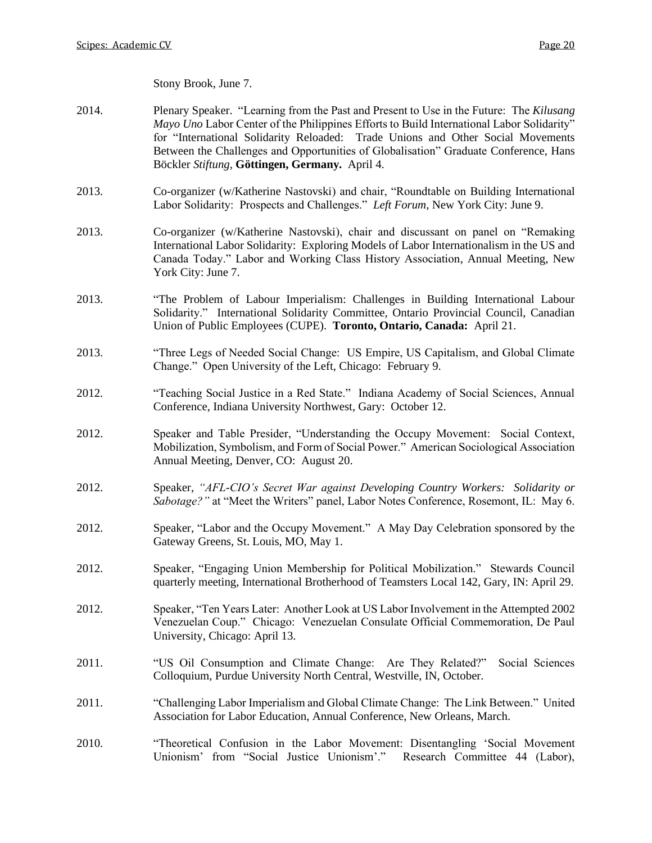Stony Brook, June 7.

- 2014. Plenary Speaker. "Learning from the Past and Present to Use in the Future: The *Kilusang Mayo Uno* Labor Center of the Philippines Efforts to Build International Labor Solidarity" for "International Solidarity Reloaded: Trade Unions and Other Social Movements Between the Challenges and Opportunities of Globalisation" Graduate Conference, Hans Böckler *Stiftung,* **Göttingen, Germany.** April 4.
- 2013. Co-organizer (w/Katherine Nastovski) and chair, "Roundtable on Building International Labor Solidarity: Prospects and Challenges." *Left Forum,* New York City: June 9.
- 2013. Co-organizer (w/Katherine Nastovski), chair and discussant on panel on "Remaking International Labor Solidarity: Exploring Models of Labor Internationalism in the US and Canada Today." Labor and Working Class History Association, Annual Meeting, New York City: June 7.
- 2013. "The Problem of Labour Imperialism: Challenges in Building International Labour Solidarity." International Solidarity Committee, Ontario Provincial Council, Canadian Union of Public Employees (CUPE). **Toronto, Ontario, Canada:** April 21.
- 2013. "Three Legs of Needed Social Change: US Empire, US Capitalism, and Global Climate Change." Open University of the Left, Chicago: February 9.
- 2012. "Teaching Social Justice in a Red State." Indiana Academy of Social Sciences, Annual Conference, Indiana University Northwest, Gary: October 12.
- 2012. Speaker and Table Presider, "Understanding the Occupy Movement: Social Context, Mobilization, Symbolism, and Form of Social Power." American Sociological Association Annual Meeting, Denver, CO: August 20.
- 2012. Speaker, *"AFL-CIO's Secret War against Developing Country Workers: Solidarity or Sabotage?"* at "Meet the Writers" panel, Labor Notes Conference, Rosemont, IL: May 6.
- 2012. Speaker, "Labor and the Occupy Movement." A May Day Celebration sponsored by the Gateway Greens, St. Louis, MO, May 1.
- 2012. Speaker, "Engaging Union Membership for Political Mobilization." Stewards Council quarterly meeting, International Brotherhood of Teamsters Local 142, Gary, IN: April 29.
- 2012. Speaker, "Ten Years Later: Another Look at US Labor Involvement in the Attempted 2002 Venezuelan Coup." Chicago: Venezuelan Consulate Official Commemoration, De Paul University, Chicago: April 13.
- 2011. "US Oil Consumption and Climate Change: Are They Related?" Social Sciences Colloquium, Purdue University North Central, Westville, IN, October.
- 2011. "Challenging Labor Imperialism and Global Climate Change: The Link Between." United Association for Labor Education, Annual Conference, New Orleans, March.
- 2010. "Theoretical Confusion in the Labor Movement: Disentangling 'Social Movement Unionism' from "Social Justice Unionism'." Research Committee 44 (Labor),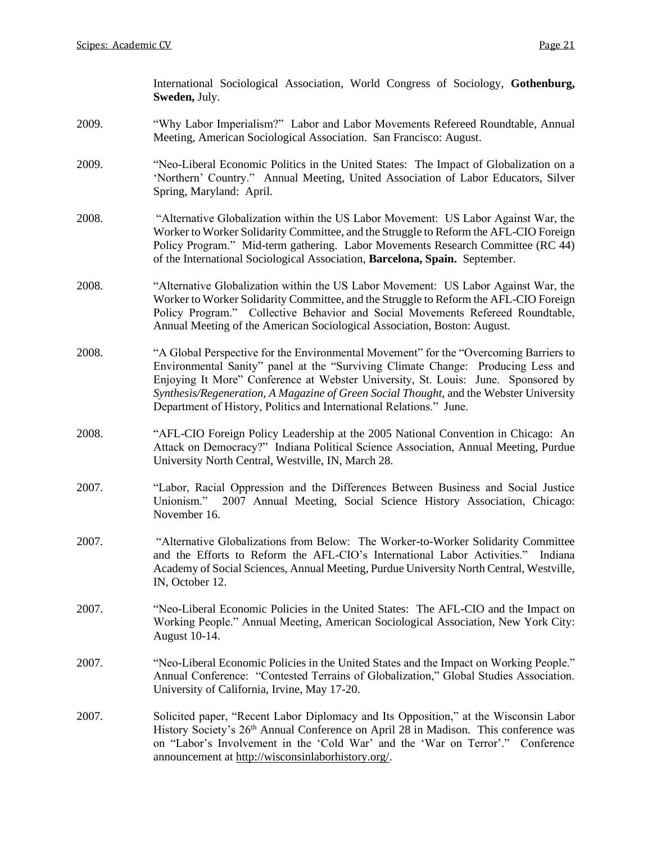International Sociological Association, World Congress of Sociology, **Gothenburg, Sweden,** July.

- 2009. "Why Labor Imperialism?" Labor and Labor Movements Refereed Roundtable, Annual Meeting, American Sociological Association. San Francisco: August.
- 2009. "Neo-Liberal Economic Politics in the United States: The Impact of Globalization on a 'Northern' Country." Annual Meeting, United Association of Labor Educators, Silver Spring, Maryland: April.
- 2008. "Alternative Globalization within the US Labor Movement: US Labor Against War, the Worker to Worker Solidarity Committee, and the Struggle to Reform the AFL-CIO Foreign Policy Program." Mid-term gathering. Labor Movements Research Committee (RC 44) of the International Sociological Association, **Barcelona, Spain.** September.
- 2008. "Alternative Globalization within the US Labor Movement: US Labor Against War, the Worker to Worker Solidarity Committee, and the Struggle to Reform the AFL-CIO Foreign Policy Program." Collective Behavior and Social Movements Refereed Roundtable, Annual Meeting of the American Sociological Association, Boston: August.
- 2008. "A Global Perspective for the Environmental Movement" for the "Overcoming Barriers to Environmental Sanity" panel at the "Surviving Climate Change: Producing Less and Enjoying It More" Conference at Webster University, St. Louis: June. Sponsored by *Synthesis/Regeneration, A Magazine of Green Social Thought,* and the Webster University Department of History, Politics and International Relations." June.
- 2008. "AFL-CIO Foreign Policy Leadership at the 2005 National Convention in Chicago: An Attack on Democracy?" Indiana Political Science Association, Annual Meeting, Purdue University North Central, Westville, IN, March 28.
- 2007. "Labor, Racial Oppression and the Differences Between Business and Social Justice Unionism." 2007 Annual Meeting, Social Science History Association, Chicago: November 16.
- 2007. "Alternative Globalizations from Below: The Worker-to-Worker Solidarity Committee and the Efforts to Reform the AFL-CIO's International Labor Activities." Indiana Academy of Social Sciences, Annual Meeting, Purdue University North Central, Westville, IN, October 12.
- 2007. "Neo-Liberal Economic Policies in the United States: The AFL-CIO and the Impact on Working People." Annual Meeting, American Sociological Association, New York City: August 10-14.
- 2007. "Neo-Liberal Economic Policies in the United States and the Impact on Working People." Annual Conference: "Contested Terrains of Globalization," Global Studies Association. University of California, Irvine, May 17-20.
- 2007. Solicited paper, "Recent Labor Diplomacy and Its Opposition," at the Wisconsin Labor History Society's 26<sup>th</sup> Annual Conference on April 28 in Madison. This conference was on "Labor's Involvement in the 'Cold War' and the 'War on Terror'." Conference announcement at [http://wisconsinlaborhistory.org/.](http://wisconsinlaborhistory.org/)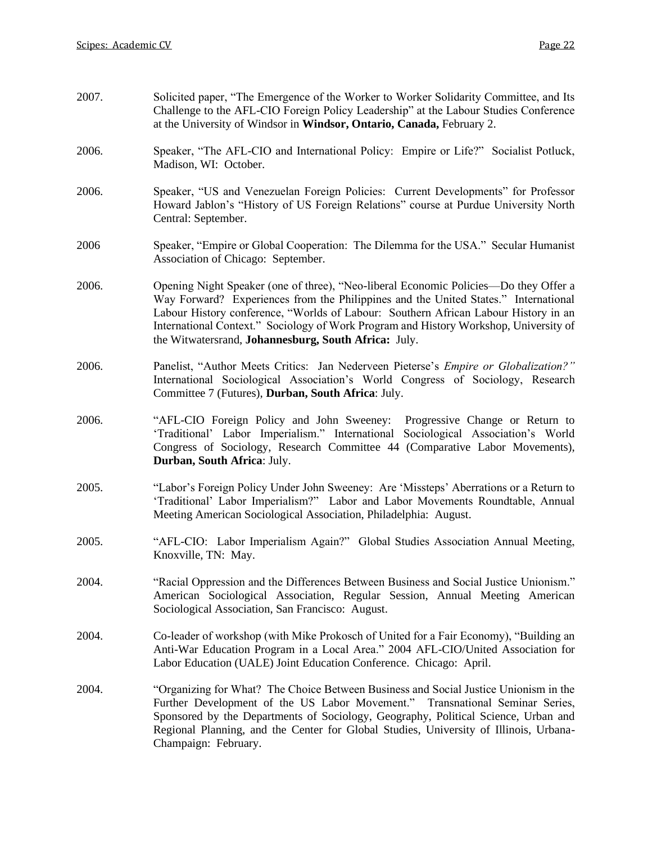| 2007. | Solicited paper, "The Emergence of the Worker to Worker Solidarity Committee, and Its<br>Challenge to the AFL-CIO Foreign Policy Leadership" at the Labour Studies Conference<br>at the University of Windsor in Windsor, Ontario, Canada, February 2.                                                                                                                                                              |  |  |
|-------|---------------------------------------------------------------------------------------------------------------------------------------------------------------------------------------------------------------------------------------------------------------------------------------------------------------------------------------------------------------------------------------------------------------------|--|--|
| 2006. | Speaker, "The AFL-CIO and International Policy: Empire or Life?" Socialist Potluck,<br>Madison, WI: October.                                                                                                                                                                                                                                                                                                        |  |  |
| 2006. | Speaker, "US and Venezuelan Foreign Policies: Current Developments" for Professor<br>Howard Jablon's "History of US Foreign Relations" course at Purdue University North<br>Central: September.                                                                                                                                                                                                                     |  |  |
| 2006  | Speaker, "Empire or Global Cooperation: The Dilemma for the USA." Secular Humanist<br>Association of Chicago: September.                                                                                                                                                                                                                                                                                            |  |  |
| 2006. | Opening Night Speaker (one of three), "Neo-liberal Economic Policies—Do they Offer a<br>Way Forward? Experiences from the Philippines and the United States." International<br>Labour History conference, "Worlds of Labour: Southern African Labour History in an<br>International Context." Sociology of Work Program and History Workshop, University of<br>the Witwatersrand, Johannesburg, South Africa: July. |  |  |
| 2006. | Panelist, "Author Meets Critics: Jan Nederveen Pieterse's <i>Empire or Globalization?"</i><br>International Sociological Association's World Congress of Sociology, Research<br>Committee 7 (Futures), Durban, South Africa: July.                                                                                                                                                                                  |  |  |
| 2006. | "AFL-CIO Foreign Policy and John Sweeney: Progressive Change or Return to<br>'Traditional' Labor Imperialism." International Sociological Association's World<br>Congress of Sociology, Research Committee 44 (Comparative Labor Movements),<br>Durban, South Africa: July.                                                                                                                                         |  |  |
| 2005. | "Labor's Foreign Policy Under John Sweeney: Are 'Missteps' Aberrations or a Return to<br>'Traditional' Labor Imperialism?" Labor and Labor Movements Roundtable, Annual<br>Meeting American Sociological Association, Philadelphia: August.                                                                                                                                                                         |  |  |
| 2005. | "AFL-CIO: Labor Imperialism Again?" Global Studies Association Annual Meeting,<br>Knoxville, TN: May.                                                                                                                                                                                                                                                                                                               |  |  |
| 2004. | "Racial Oppression and the Differences Between Business and Social Justice Unionism."<br>American Sociological Association, Regular Session, Annual Meeting American<br>Sociological Association, San Francisco: August.                                                                                                                                                                                            |  |  |
| 2004. | Co-leader of workshop (with Mike Prokosch of United for a Fair Economy), "Building an<br>Anti-War Education Program in a Local Area." 2004 AFL-CIO/United Association for<br>Labor Education (UALE) Joint Education Conference. Chicago: April.                                                                                                                                                                     |  |  |
| 2004. | "Organizing for What? The Choice Between Business and Social Justice Unionism in the<br>Further Development of the US Labor Movement." Transnational Seminar Series,<br>Sponsored by the Departments of Sociology, Geography, Political Science, Urban and<br>Regional Planning, and the Center for Global Studies, University of Illinois, Urbana-<br>Champaign: February.                                         |  |  |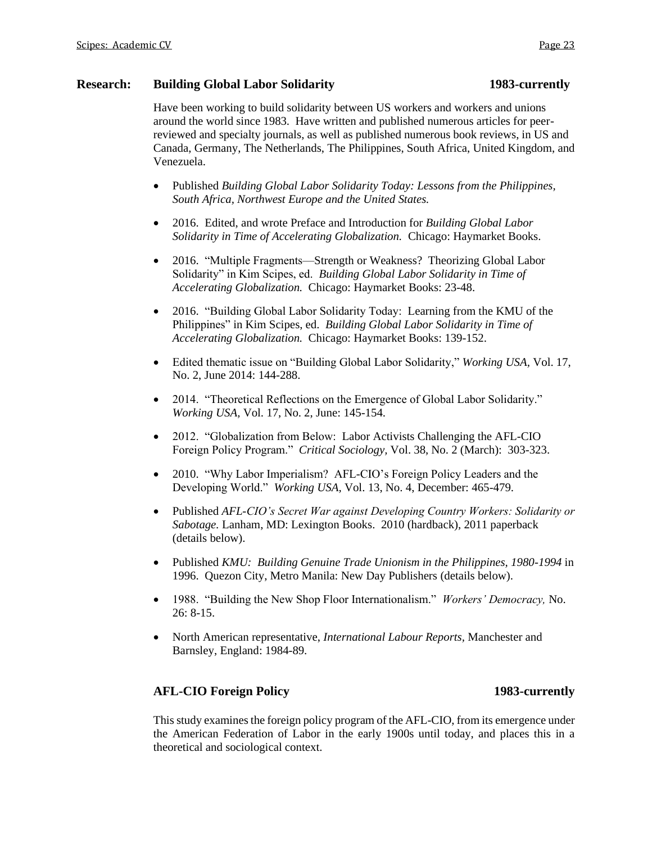## **Research: Building Global Labor Solidarity 1983-currently**

Have been working to build solidarity between US workers and workers and unions around the world since 1983. Have written and published numerous articles for peerreviewed and specialty journals, as well as published numerous book reviews, in US and Canada, Germany, The Netherlands, The Philippines, South Africa, United Kingdom, and Venezuela.

- Published *Building Global Labor Solidarity Today: Lessons from the Philippines, South Africa, Northwest Europe and the United States.*
- 2016. Edited, and wrote Preface and Introduction for *Building Global Labor Solidarity in Time of Accelerating Globalization.* Chicago: Haymarket Books.
- 2016. "Multiple Fragments—Strength or Weakness? Theorizing Global Labor Solidarity" in Kim Scipes, ed. *Building Global Labor Solidarity in Time of Accelerating Globalization.* Chicago: Haymarket Books: 23-48.
- 2016. "Building Global Labor Solidarity Today: Learning from the KMU of the Philippines" in Kim Scipes, ed. *Building Global Labor Solidarity in Time of Accelerating Globalization.* Chicago: Haymarket Books: 139-152.
- Edited thematic issue on "Building Global Labor Solidarity," *Working USA,* Vol. 17, No. 2, June 2014: 144-288.
- 2014. "Theoretical Reflections on the Emergence of Global Labor Solidarity." *Working USA,* Vol. 17, No. 2, June: 145-154.
- 2012. "Globalization from Below: Labor Activists Challenging the AFL-CIO Foreign Policy Program." *Critical Sociology,* Vol. 38, No. 2 (March): 303-323.
- 2010. "Why Labor Imperialism? AFL-CIO's Foreign Policy Leaders and the Developing World." *Working USA,* Vol. 13, No. 4, December: 465-479.
- Published *AFL-CIO's Secret War against Developing Country Workers: Solidarity or Sabotage.* Lanham, MD: Lexington Books. 2010 (hardback), 2011 paperback (details below).
- Published *KMU: Building Genuine Trade Unionism in the Philippines, 1980-1994* in 1996. Quezon City, Metro Manila: New Day Publishers (details below).
- 1988. "Building the New Shop Floor Internationalism." *Workers' Democracy,* No. 26: 8-15.
- North American representative, *International Labour Reports,* Manchester and Barnsley, England: 1984-89.

# **AFL-CIO Foreign Policy 1983-currently**

This study examines the foreign policy program of the AFL-CIO, from its emergence under the American Federation of Labor in the early 1900s until today, and places this in a theoretical and sociological context.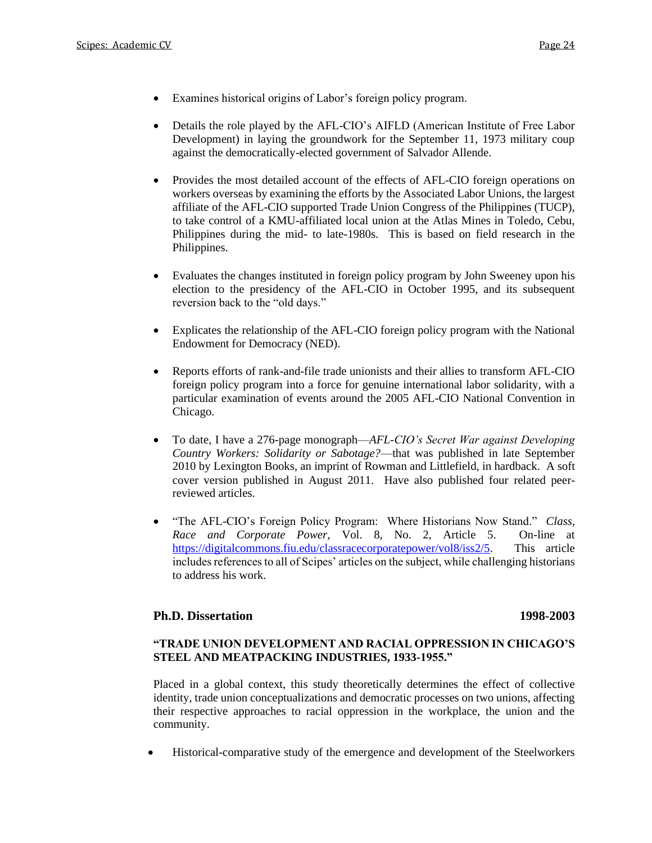- Examines historical origins of Labor's foreign policy program.
- Details the role played by the AFL-CIO's AIFLD (American Institute of Free Labor Development) in laying the groundwork for the September 11, 1973 military coup against the democratically-elected government of Salvador Allende.
- Provides the most detailed account of the effects of AFL-CIO foreign operations on workers overseas by examining the efforts by the Associated Labor Unions, the largest affiliate of the AFL-CIO supported Trade Union Congress of the Philippines (TUCP), to take control of a KMU-affiliated local union at the Atlas Mines in Toledo, Cebu, Philippines during the mid- to late-1980s. This is based on field research in the Philippines.
- Evaluates the changes instituted in foreign policy program by John Sweeney upon his election to the presidency of the AFL-CIO in October 1995, and its subsequent reversion back to the "old days."
- Explicates the relationship of the AFL-CIO foreign policy program with the National Endowment for Democracy (NED).
- Reports efforts of rank-and-file trade unionists and their allies to transform AFL-CIO foreign policy program into a force for genuine international labor solidarity, with a particular examination of events around the 2005 AFL-CIO National Convention in Chicago.
- To date, I have a 276-page monograph—*AFL-CIO's Secret War against Developing Country Workers: Solidarity or Sabotage?*—that was published in late September 2010 by Lexington Books, an imprint of Rowman and Littlefield, in hardback. A soft cover version published in August 2011. Have also published four related peerreviewed articles.
- "The AFL-CIO's Foreign Policy Program: Where Historians Now Stand." *Class, Race and Corporate Power,* Vol. 8, No. 2, Article 5. On-line at [https://digitalcommons.fiu.edu/classracecorporatepower/vol8/iss2/5.](https://digitalcommons.fiu.edu/classracecorporatepower/vol8/iss2/5) This article includes references to all of Scipes' articles on the subject, while challenging historians to address his work.

## **Ph.D. Dissertation 1998-2003**

## **"TRADE UNION DEVELOPMENT AND RACIAL OPPRESSION IN CHICAGO'S STEEL AND MEATPACKING INDUSTRIES, 1933-1955."**

Placed in a global context, this study theoretically determines the effect of collective identity, trade union conceptualizations and democratic processes on two unions, affecting their respective approaches to racial oppression in the workplace, the union and the community.

• Historical-comparative study of the emergence and development of the Steelworkers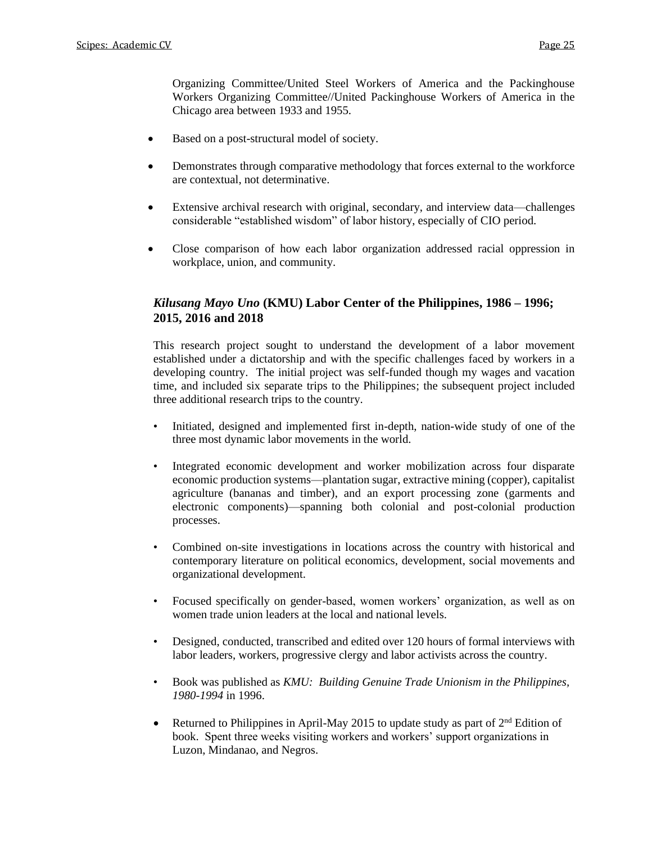Organizing Committee/United Steel Workers of America and the Packinghouse Workers Organizing Committee//United Packinghouse Workers of America in the Chicago area between 1933 and 1955.

- Based on a post-structural model of society.
- Demonstrates through comparative methodology that forces external to the workforce are contextual, not determinative.
- Extensive archival research with original, secondary, and interview data—challenges considerable "established wisdom" of labor history, especially of CIO period.
- Close comparison of how each labor organization addressed racial oppression in workplace, union, and community.

# *Kilusang Mayo Uno* **(KMU) Labor Center of the Philippines, 1986 – 1996; 2015, 2016 and 2018**

This research project sought to understand the development of a labor movement established under a dictatorship and with the specific challenges faced by workers in a developing country. The initial project was self-funded though my wages and vacation time, and included six separate trips to the Philippines; the subsequent project included three additional research trips to the country.

- Initiated, designed and implemented first in-depth, nation-wide study of one of the three most dynamic labor movements in the world.
- Integrated economic development and worker mobilization across four disparate economic production systems—plantation sugar, extractive mining (copper), capitalist agriculture (bananas and timber), and an export processing zone (garments and electronic components)—spanning both colonial and post-colonial production processes.
- Combined on-site investigations in locations across the country with historical and contemporary literature on political economics, development, social movements and organizational development.
- Focused specifically on gender-based, women workers' organization, as well as on women trade union leaders at the local and national levels.
- Designed, conducted, transcribed and edited over 120 hours of formal interviews with labor leaders, workers, progressive clergy and labor activists across the country.
- Book was published as *KMU: Building Genuine Trade Unionism in the Philippines, 1980-1994* in 1996.
- Returned to Philippines in April-May 2015 to update study as part of  $2^{nd}$  Edition of book. Spent three weeks visiting workers and workers' support organizations in Luzon, Mindanao, and Negros.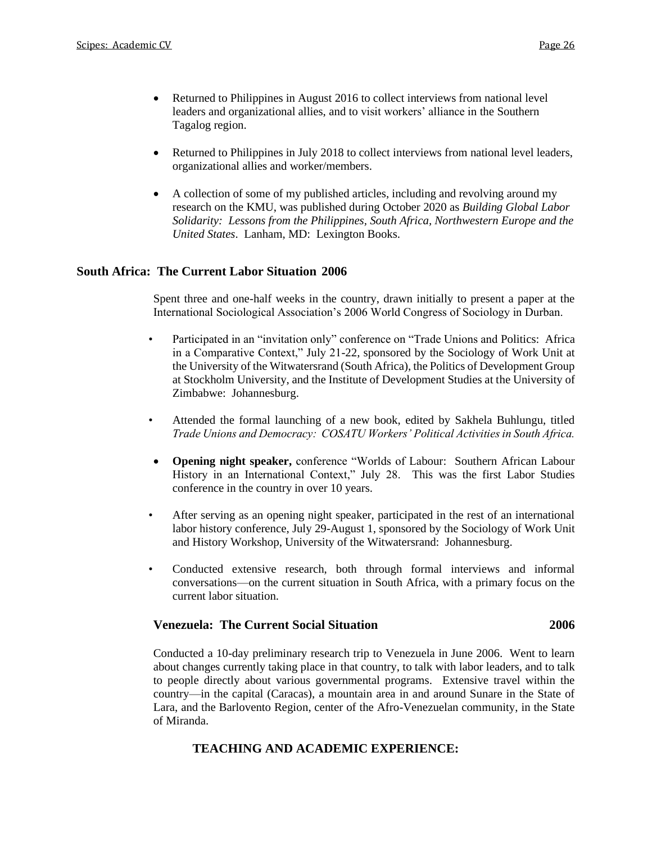- Returned to Philippines in August 2016 to collect interviews from national level leaders and organizational allies, and to visit workers' alliance in the Southern Tagalog region.
- Returned to Philippines in July 2018 to collect interviews from national level leaders, organizational allies and worker/members.
- A collection of some of my published articles, including and revolving around my research on the KMU, was published during October 2020 as *Building Global Labor Solidarity: Lessons from the Philippines, South Africa, Northwestern Europe and the United States*. Lanham, MD: Lexington Books.

## **South Africa: The Current Labor Situation 2006**

Spent three and one-half weeks in the country, drawn initially to present a paper at the International Sociological Association's 2006 World Congress of Sociology in Durban.

- Participated in an "invitation only" conference on "Trade Unions and Politics: Africa in a Comparative Context," July 21-22, sponsored by the Sociology of Work Unit at the University of the Witwatersrand (South Africa), the Politics of Development Group at Stockholm University, and the Institute of Development Studies at the University of Zimbabwe: Johannesburg.
- Attended the formal launching of a new book, edited by Sakhela Buhlungu, titled *Trade Unions and Democracy: COSATU Workers' Political Activities in South Africa.*
- **Opening night speaker,** conference "Worlds of Labour: Southern African Labour History in an International Context," July 28. This was the first Labor Studies conference in the country in over 10 years.
- After serving as an opening night speaker, participated in the rest of an international labor history conference, July 29-August 1, sponsored by the Sociology of Work Unit and History Workshop, University of the Witwatersrand: Johannesburg.
- Conducted extensive research, both through formal interviews and informal conversations—on the current situation in South Africa, with a primary focus on the current labor situation.

## **Venezuela: The Current Social Situation 2006**

Conducted a 10-day preliminary research trip to Venezuela in June 2006. Went to learn about changes currently taking place in that country, to talk with labor leaders, and to talk to people directly about various governmental programs. Extensive travel within the country—in the capital (Caracas), a mountain area in and around Sunare in the State of Lara, and the Barlovento Region, center of the Afro-Venezuelan community, in the State of Miranda.

## **TEACHING AND ACADEMIC EXPERIENCE:**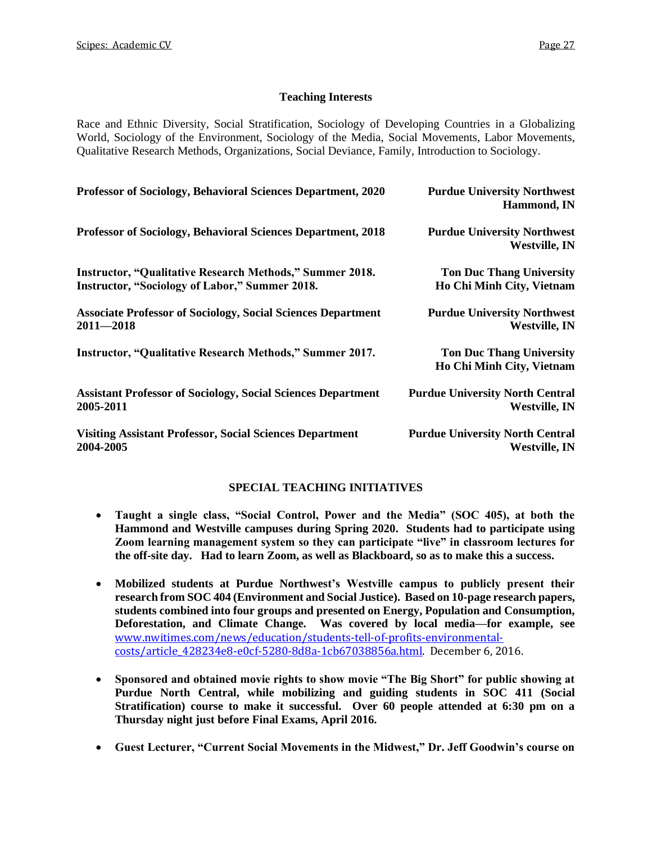## **Teaching Interests**

Race and Ethnic Diversity, Social Stratification, Sociology of Developing Countries in a Globalizing World, Sociology of the Environment, Sociology of the Media, Social Movements, Labor Movements, Qualitative Research Methods, Organizations, Social Deviance, Family, Introduction to Sociology.

| <b>Professor of Sociology, Behavioral Sciences Department, 2020</b> | <b>Purdue University Northwest</b><br>Hammond, IN            |
|---------------------------------------------------------------------|--------------------------------------------------------------|
| <b>Professor of Sociology, Behavioral Sciences Department, 2018</b> | <b>Purdue University Northwest</b><br><b>Westville, IN</b>   |
| <b>Instructor, "Qualitative Research Methods," Summer 2018.</b>     | <b>Ton Duc Thang University</b>                              |
| Instructor, "Sociology of Labor," Summer 2018.                      | Ho Chi Minh City, Vietnam                                    |
| <b>Associate Professor of Sociology, Social Sciences Department</b> | <b>Purdue University Northwest</b>                           |
| $2011 - 2018$                                                       | <b>Westville, IN</b>                                         |
| <b>Instructor, "Qualitative Research Methods," Summer 2017.</b>     | <b>Ton Duc Thang University</b><br>Ho Chi Minh City, Vietnam |
| <b>Assistant Professor of Sociology, Social Sciences Department</b> | <b>Purdue University North Central</b>                       |
| 2005-2011                                                           | <b>Westville, IN</b>                                         |
| <b>Visiting Assistant Professor, Social Sciences Department</b>     | <b>Purdue University North Central</b>                       |
| 2004-2005                                                           | <b>Westville, IN</b>                                         |

## **SPECIAL TEACHING INITIATIVES**

- **Taught a single class, "Social Control, Power and the Media" (SOC 405), at both the Hammond and Westville campuses during Spring 2020. Students had to participate using Zoom learning management system so they can participate "live" in classroom lectures for the off-site day. Had to learn Zoom, as well as Blackboard, so as to make this a success.**
- **Mobilized students at Purdue Northwest's Westville campus to publicly present their research from SOC 404 (Environment and Social Justice). Based on 10-page research papers, students combined into four groups and presented on Energy, Population and Consumption, Deforestation, and Climate Change. Was covered by local media—for example, see**  [www.nwitimes.com/news/education/students-tell-of-profits-environmental](http://www.nwitimes.com/news/education/students-tell-of-profits-environmental-costs/article_428234e8-e0cf-5280-8d8a-1cb67038856a.html)[costs/article\\_428234e8-e0cf-5280-8d8a-1cb67038856a.html.](http://www.nwitimes.com/news/education/students-tell-of-profits-environmental-costs/article_428234e8-e0cf-5280-8d8a-1cb67038856a.html) December 6, 2016.
- **Sponsored and obtained movie rights to show movie "The Big Short" for public showing at Purdue North Central, while mobilizing and guiding students in SOC 411 (Social Stratification) course to make it successful. Over 60 people attended at 6:30 pm on a Thursday night just before Final Exams, April 2016.**
- **Guest Lecturer, "Current Social Movements in the Midwest," Dr. Jeff Goodwin's course on**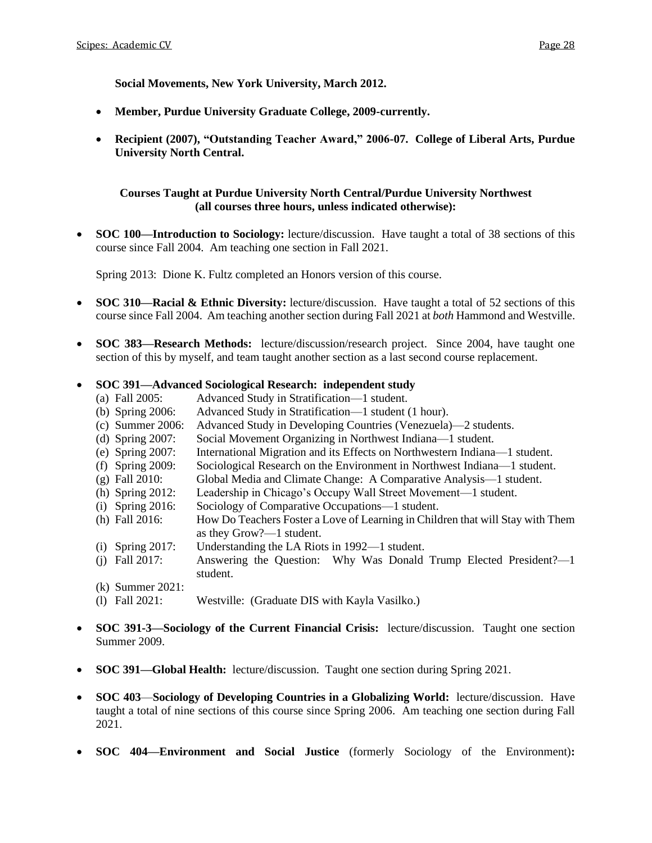**Social Movements, New York University, March 2012.**

- **Member, Purdue University Graduate College, 2009-currently.**
- **Recipient (2007), "Outstanding Teacher Award," 2006-07. College of Liberal Arts, Purdue University North Central.**

## **Courses Taught at Purdue University North Central/Purdue University Northwest (all courses three hours, unless indicated otherwise):**

• **SOC 100—Introduction to Sociology:** lecture/discussion. Have taught a total of 38 sections of this course since Fall 2004. Am teaching one section in Fall 2021.

Spring 2013: Dione K. Fultz completed an Honors version of this course.

- **SOC 310—Racial & Ethnic Diversity:** lecture/discussion. Have taught a total of 52 sections of this course since Fall 2004. Am teaching another section during Fall 2021 at *both* Hammond and Westville.
- **SOC 383—Research Methods:** lecture/discussion/research project. Since 2004, have taught one section of this by myself, and team taught another section as a last second course replacement.

## • **SOC 391—Advanced Sociological Research: independent study**

- (a) Fall 2005: Advanced Study in Stratification—1 student.
- (b) Spring 2006: Advanced Study in Stratification—1 student (1 hour).
- (c) Summer 2006: Advanced Study in Developing Countries (Venezuela)—2 students.
- (d) Spring 2007: Social Movement Organizing in Northwest Indiana—1 student.
- (e) Spring 2007: International Migration and its Effects on Northwestern Indiana—1 student.
- (f) Spring 2009: Sociological Research on the Environment in Northwest Indiana—1 student.
- (g) Fall 2010: Global Media and Climate Change: A Comparative Analysis—1 student.
- (h) Spring 2012: Leadership in Chicago's Occupy Wall Street Movement—1 student.
- (i) Spring 2016: Sociology of Comparative Occupations—1 student.
- (h) Fall 2016: How Do Teachers Foster a Love of Learning in Children that will Stay with Them as they Grow?—1 student.
- (i) Spring 2017: Understanding the LA Riots in 1992—1 student.
- (j) Fall 2017: Answering the Question: Why Was Donald Trump Elected President?—1 student.
- (k) Summer 2021:
- (l) Fall 2021: Westville: (Graduate DIS with Kayla Vasilko.)
- **SOC 391-3—Sociology of the Current Financial Crisis:** lecture/discussion. Taught one section Summer 2009.
- **SOC 391—Global Health:** lecture/discussion. Taught one section during Spring 2021.
- **SOC 403**—**Sociology of Developing Countries in a Globalizing World:** lecture/discussion. Have taught a total of nine sections of this course since Spring 2006. Am teaching one section during Fall 2021.
- **SOC 404—Environment and Social Justice** (formerly Sociology of the Environment)**:**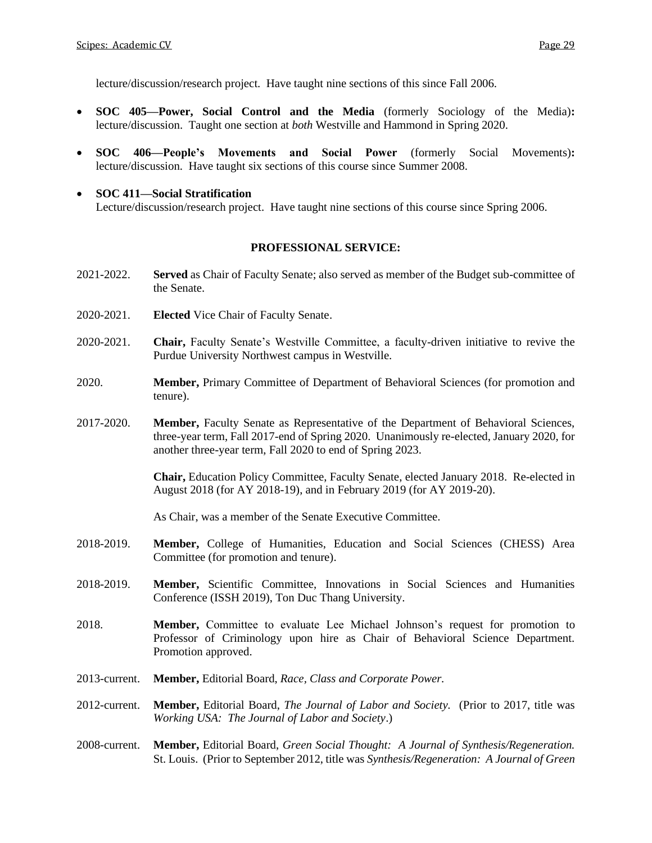lecture/discussion/research project. Have taught nine sections of this since Fall 2006.

- **SOC 405—Power, Social Control and the Media** (formerly Sociology of the Media)**:** lecture/discussion. Taught one section at *both* Westville and Hammond in Spring 2020.
- **SOC 406—People's Movements and Social Power** (formerly Social Movements)**:** lecture/discussion. Have taught six sections of this course since Summer 2008.
- **SOC 411—Social Stratification** Lecture/discussion/research project. Have taught nine sections of this course since Spring 2006.

### **PROFESSIONAL SERVICE:**

- 2021-2022. **Served** as Chair of Faculty Senate; also served as member of the Budget sub-committee of the Senate.
- 2020-2021. **Elected** Vice Chair of Faculty Senate.
- 2020-2021. **Chair,** Faculty Senate's Westville Committee, a faculty-driven initiative to revive the Purdue University Northwest campus in Westville.
- 2020. **Member,** Primary Committee of Department of Behavioral Sciences (for promotion and tenure).
- 2017-2020. **Member,** Faculty Senate as Representative of the Department of Behavioral Sciences, three-year term, Fall 2017-end of Spring 2020. Unanimously re-elected, January 2020, for another three-year term, Fall 2020 to end of Spring 2023.

**Chair,** Education Policy Committee, Faculty Senate, elected January 2018. Re-elected in August 2018 (for AY 2018-19), and in February 2019 (for AY 2019-20).

As Chair, was a member of the Senate Executive Committee.

- 2018-2019. **Member,** College of Humanities, Education and Social Sciences (CHESS) Area Committee (for promotion and tenure).
- 2018-2019. **Member,** Scientific Committee, Innovations in Social Sciences and Humanities Conference (ISSH 2019), Ton Duc Thang University.
- 2018. **Member,** Committee to evaluate Lee Michael Johnson's request for promotion to Professor of Criminology upon hire as Chair of Behavioral Science Department. Promotion approved.
- 2013-current. **Member,** Editorial Board, *Race, Class and Corporate Power.*
- 2012-current. **Member,** Editorial Board, *The Journal of Labor and Society.* (Prior to 2017, title was *Working USA: The Journal of Labor and Society*.)
- 2008-current. **Member,** Editorial Board, *Green Social Thought: A Journal of Synthesis/Regeneration.*  St. Louis. (Prior to September 2012, title was *Synthesis/Regeneration: A Journal of Green*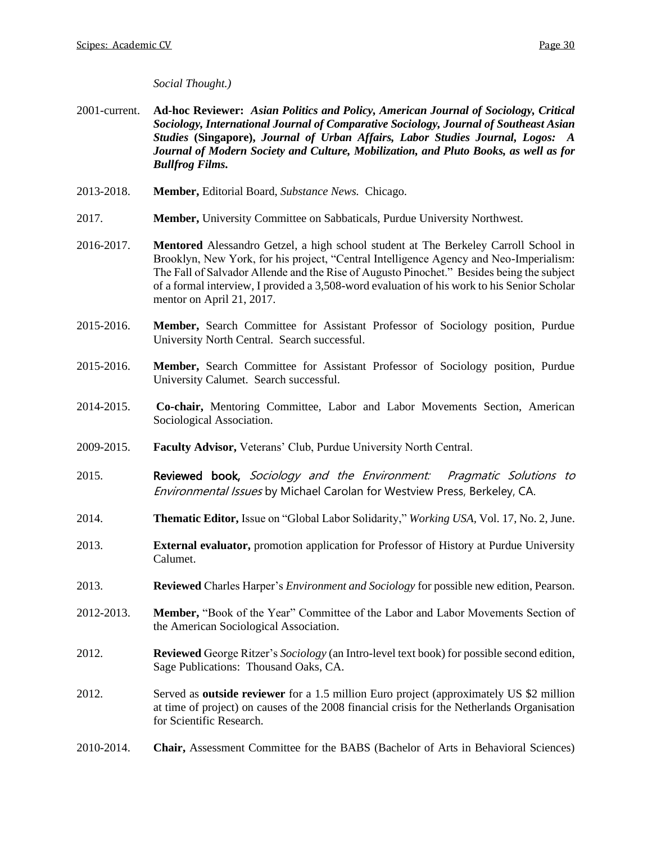## *Social Thought.)*

- 2001-current. **Ad-hoc Reviewer:** *Asian Politics and Policy, American Journal of Sociology, Critical Sociology, International Journal of Comparative Sociology, Journal of Southeast Asian Studies* **(Singapore),** *Journal of Urban Affairs, Labor Studies Journal, Logos: A Journal of Modern Society and Culture, Mobilization, and Pluto Books, as well as for Bullfrog Films.*
- 2013-2018. **Member,** Editorial Board, *Substance News.* Chicago.
- 2017. **Member,** University Committee on Sabbaticals, Purdue University Northwest.
- 2016-2017. **Mentored** Alessandro Getzel, a high school student at The Berkeley Carroll School in Brooklyn, New York, for his project, "Central Intelligence Agency and Neo-Imperialism: The Fall of Salvador Allende and the Rise of Augusto Pinochet." Besides being the subject of a formal interview, I provided a 3,508-word evaluation of his work to his Senior Scholar mentor on April 21, 2017.
- 2015-2016. **Member,** Search Committee for Assistant Professor of Sociology position, Purdue University North Central. Search successful.
- 2015-2016. **Member,** Search Committee for Assistant Professor of Sociology position, Purdue University Calumet. Search successful.
- 2014-2015. **Co-chair,** Mentoring Committee, Labor and Labor Movements Section, American Sociological Association.
- 2009-2015. **Faculty Advisor,** Veterans' Club, Purdue University North Central.
- 2015. **Reviewed book, Sociology and the Environment:** Pragmatic Solutions to Environmental Issues by Michael Carolan for Westview Press, Berkeley, CA.
- 2014. **Thematic Editor,** Issue on "Global Labor Solidarity," *Working USA,* Vol. 17, No. 2, June.
- 2013. **External evaluator,** promotion application for Professor of History at Purdue University Calumet.
- 2013. **Reviewed** Charles Harper's *Environment and Sociology* for possible new edition, Pearson.
- 2012-2013. **Member,** "Book of the Year" Committee of the Labor and Labor Movements Section of the American Sociological Association.
- 2012. **Reviewed** George Ritzer's *Sociology* (an Intro-level text book) for possible second edition, Sage Publications: Thousand Oaks, CA.
- 2012. Served as **outside reviewer** for a 1.5 million Euro project (approximately US \$2 million at time of project) on causes of the 2008 financial crisis for the Netherlands Organisation for Scientific Research.
- 2010-2014. **Chair,** Assessment Committee for the BABS (Bachelor of Arts in Behavioral Sciences)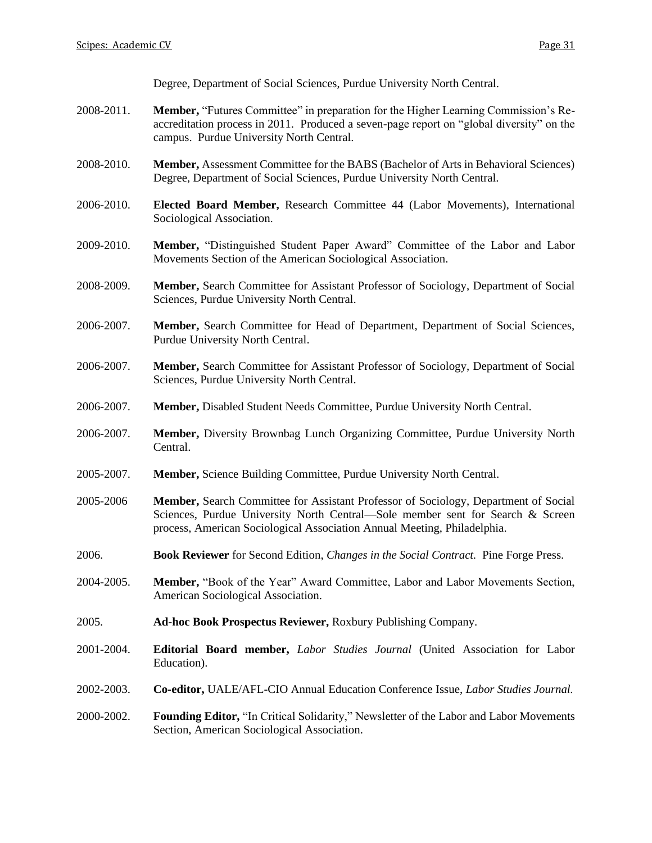Degree, Department of Social Sciences, Purdue University North Central.

- 2008-2011. **Member,** "Futures Committee" in preparation for the Higher Learning Commission's Reaccreditation process in 2011. Produced a seven-page report on "global diversity" on the campus. Purdue University North Central.
- 2008-2010. **Member,** Assessment Committee for the BABS (Bachelor of Arts in Behavioral Sciences) Degree, Department of Social Sciences, Purdue University North Central.
- 2006-2010. **Elected Board Member,** Research Committee 44 (Labor Movements), International Sociological Association.
- 2009-2010. **Member,** "Distinguished Student Paper Award" Committee of the Labor and Labor Movements Section of the American Sociological Association.
- 2008-2009. **Member,** Search Committee for Assistant Professor of Sociology, Department of Social Sciences, Purdue University North Central.
- 2006-2007. **Member,** Search Committee for Head of Department, Department of Social Sciences, Purdue University North Central.
- 2006-2007. **Member,** Search Committee for Assistant Professor of Sociology, Department of Social Sciences, Purdue University North Central.
- 2006-2007. **Member,** Disabled Student Needs Committee, Purdue University North Central.
- 2006-2007. **Member,** Diversity Brownbag Lunch Organizing Committee, Purdue University North Central.
- 2005-2007. **Member,** Science Building Committee, Purdue University North Central.
- 2005-2006 **Member,** Search Committee for Assistant Professor of Sociology, Department of Social Sciences, Purdue University North Central—Sole member sent for Search & Screen process, American Sociological Association Annual Meeting, Philadelphia.
- 2006. **Book Reviewer** for Second Edition, *Changes in the Social Contract.* Pine Forge Press.
- 2004-2005. **Member,** "Book of the Year" Award Committee, Labor and Labor Movements Section, American Sociological Association.
- 2005. **Ad-hoc Book Prospectus Reviewer,** Roxbury Publishing Company.
- 2001-2004. **Editorial Board member,** *Labor Studies Journal* (United Association for Labor Education).
- 2002-2003. **Co-editor,** UALE/AFL-CIO Annual Education Conference Issue, *Labor Studies Journal.*
- 2000-2002. **Founding Editor,** "In Critical Solidarity," Newsletter of the Labor and Labor Movements Section, American Sociological Association.